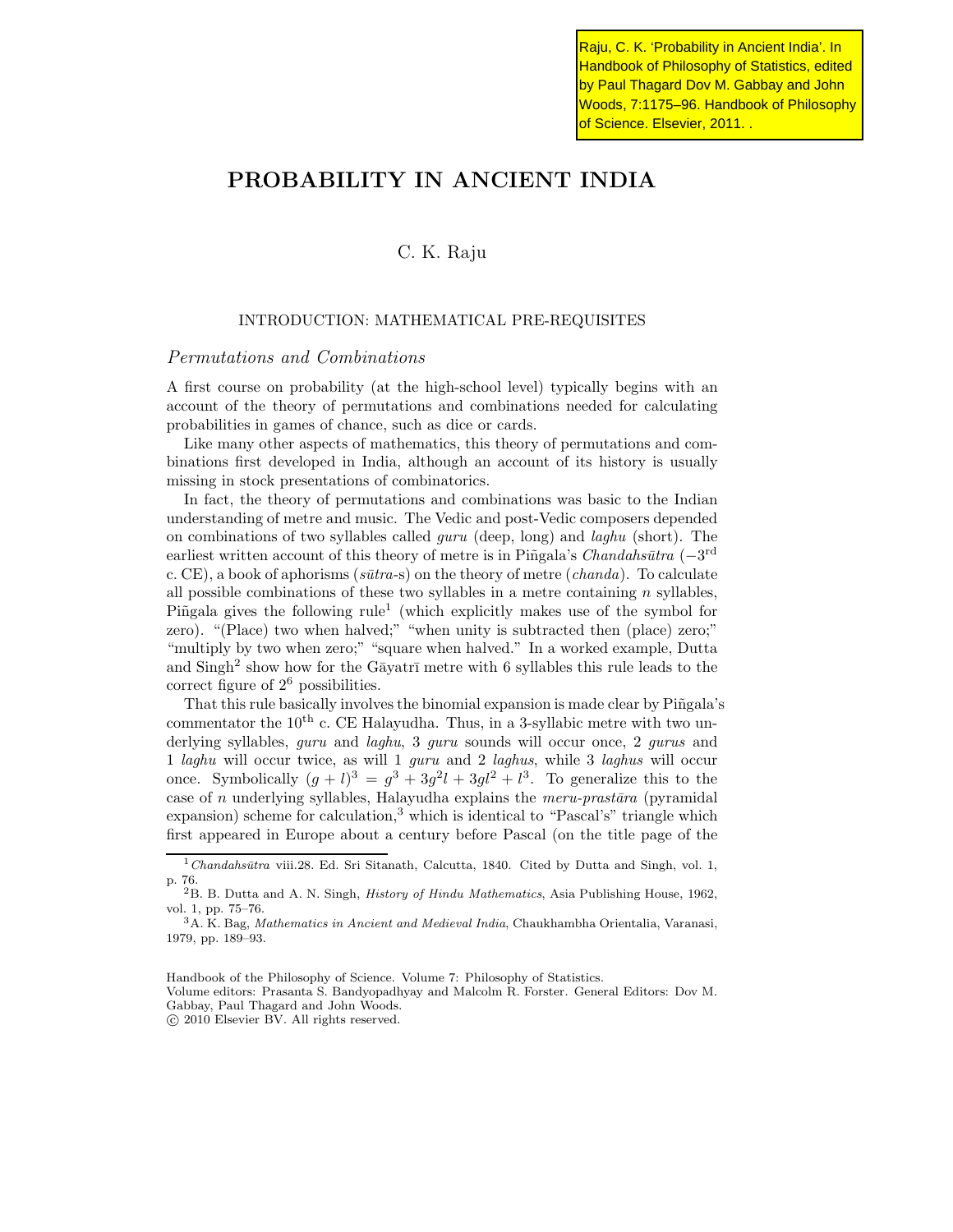Raju, C. K. 'Probability in Ancient India'. In Handbook of Philosophy of Statistics, edited by Paul Thagard Dov M. Gabbay and John Woods, 7:1175–96. Handbook of Philosophy of Science. Elsevier. 2011. .

# **PROBABILITY IN ANCIENT INDIA**

# C. K. Raju

#### INTRODUCTION: MATHEMATICAL PRE-REQUISITES

### *Permutations and Combinations*

A first course on probability (at the high-school level) typically begins with an account of the theory of permutations and combinations needed for calculating probabilities in games of chance, such as dice or cards.

Like many other aspects of mathematics, this theory of permutations and combinations first developed in India, although an account of its history is usually missing in stock presentations of combinatorics.

In fact, the theory of permutations and combinations was basic to the Indian understanding of metre and music. The Vedic and post-Vedic composers depended on combinations of two syllables called *guru* (deep, long) and *laghu* (short). The earliest written account of this theory of metre is in Piñgala's *Chandahsūtra* (−3<sup>rd</sup>) c. CE), a book of aphorisms (*s¯utra*-s) on the theory of metre (*chanda*). To calculate all possible combinations of these two syllables in a metre containing  $n$  syllables, Piñgala gives the following rule<sup>1</sup> (which explicitly makes use of the symbol for zero). "(Place) two when halved;" "when unity is subtracted then (place) zero;" "multiply by two when zero;" "square when halved." In a worked example, Dutta and Singh<sup>2</sup> show how for the Gayatri metre with 6 syllables this rule leads to the correct figure of  $2^6$  possibilities.

That this rule basically involves the binomial expansion is made clear by Piñgala's commentator the  $10^{th}$  c. CE Halayudha. Thus, in a 3-syllabic metre with two underlying syllables, *guru* and *laghu*, 3 *guru* sounds will occur once, 2 *gurus* and 1 *laghu* will occur twice, as will 1 *guru* and 2 *laghus*, while 3 *laghus* will occur once. Symbolically  $(g + l)^3 = g^3 + 3g^2l + 3gl^2 + l^3$ . To generalize this to the case of n underlying syllables, Halayudha explains the  $meru-prastāra$  (pyramidal) expansion) scheme for calculation, $3$  which is identical to "Pascal's" triangle which first appeared in Europe about a century before Pascal (on the title page of the

<sup>&</sup>lt;sup>1</sup> Chandahsūtra viii.28. Ed. Sri Sitanath, Calcutta, 1840. Cited by Dutta and Singh, vol. 1,

p. 76. <sup>2</sup>B. B. Dutta and A. N. Singh, *History of Hindu Mathematics*, Asia Publishing House, 1962, vol. 1, pp. 75–76. <sup>3</sup>A. K. Bag, *Mathematics in Ancient and Medieval India*, Chaukhambha Orientalia, Varanasi,

<sup>1979,</sup> pp. 189–93.

Handbook of the Philosophy of Science. Volume 7: Philosophy of Statistics.

Volume editors: Prasanta S. Bandyopadhyay and Malcolm R. Forster. General Editors: Dov M. Gabbay, Paul Thagard and John Woods.

<sup>-</sup>c 2010 Elsevier BV. All rights reserved.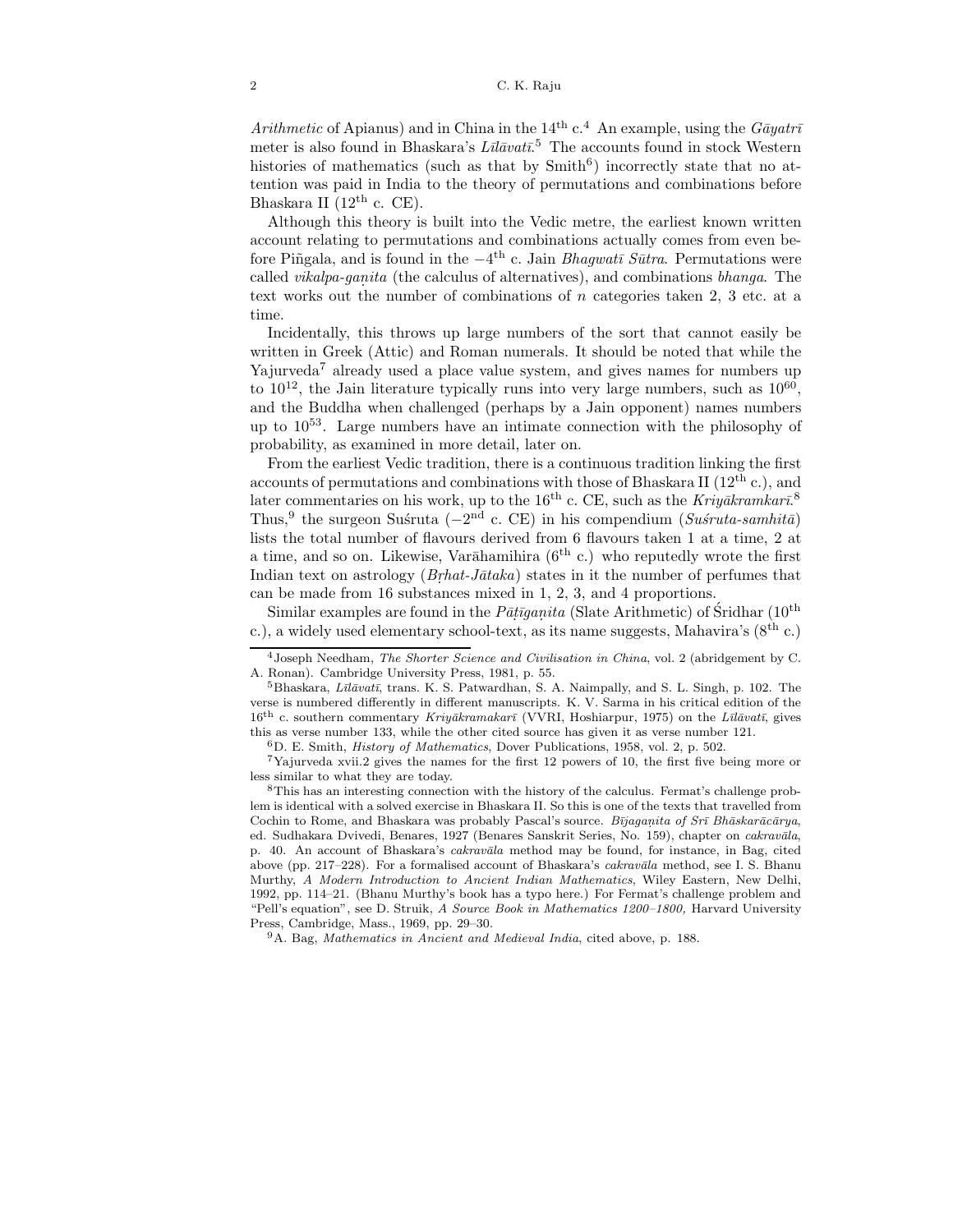*Arithmetic* of Apianus) and in China in the  $14<sup>th</sup>$  c.<sup>4</sup> An example, using the  $G\bar{a}yatri$ meter is also found in Bhaskara's *Līlāvatī*.<sup>5</sup> The accounts found in stock Western histories of mathematics (such as that by  $Smith<sup>6</sup>$ ) incorrectly state that no attention was paid in India to the theory of permutations and combinations before Bhaskara II ( $12<sup>th</sup>$  c. CE).

Although this theory is built into the Vedic metre, the earliest known written account relating to permutations and combinations actually comes from even before Piñgala, and is found in the  $-4<sup>th</sup>$  c. Jain *Bhagwatī Sūtra*. Permutations were called *vikalpa-gan. ita* (the calculus of alternatives), and combinations *bhanga*. The text works out the number of combinations of n categories taken 2, 3 etc. at a time.

Incidentally, this throws up large numbers of the sort that cannot easily be written in Greek (Attic) and Roman numerals. It should be noted that while the Yajurveda<sup>7</sup> already used a place value system, and gives names for numbers up to  $10^{12}$ , the Jain literature typically runs into very large numbers, such as  $10^{60}$ , and the Buddha when challenged (perhaps by a Jain opponent) names numbers up to 1053. Large numbers have an intimate connection with the philosophy of probability, as examined in more detail, later on.

From the earliest Vedic tradition, there is a continuous tradition linking the first accounts of permutations and combinations with those of Bhaskara II  $(12<sup>th</sup> c.)$ , and later commentaries on his work, up to the  $16<sup>th</sup>$  c. CE, such as the *Kriyākramkarī*.<sup>8</sup> Thus,<sup>9</sup> the surgeon Sustruta (−2<sup>nd</sup> c. CE) in his compendium (*Sustruta-samhita*) lists the total number of flavours derived from 6 flavours taken 1 at a time, 2 at a time, and so on. Likewise, Varāhamihira  $(6<sup>th</sup> c.)$  who reputedly wrote the first Indian text on astrology  $(Brhat-Jātaka)$  states in it the number of perfumes that can be made from 16 substances mixed in 1, 2, 3, and 4 proportions.

Similar examples are found in the  $P\bar{a}t\bar{a}ganita$  (Slate Arithmetic) of Sridhar  $(10^{th}$ c.), a widely used elementary school-text, as its name suggests, Mahavira's  $(8<sup>th</sup> c.)$ 

<sup>4</sup>Joseph Needham, *The Shorter Science and Civilisation in China*, vol. 2 (abridgement by C. A. Ronan). Cambridge University Press, 1981, p. 55.<br><sup>5</sup>Bhaskara, *Līlāvatī*, trans. K. S. Patwardhan, S. A. Naimpally, and S. L. Singh, p. 102. The

verse is numbered differently in different manuscripts. K. V. Sarma in his critical edition of the  $16<sup>th</sup>$  c. southern commentary *Kriyākramakarī* (VVRI, Hoshiarpur, 1975) on the *Līlāvatī*, gives this as verse number 133, while the other cited source has given it as verse number 121.

<sup>&</sup>lt;sup>6</sup>D. E. Smith, *History of Mathematics*, Dover Publications, 1958, vol. 2, p. 502.<br><sup>7</sup>Yajurveda xvii.2 gives the names for the first 12 powers of 10, the first five being more or less similar to what they are today. <sup>8</sup>This has an interesting connection with the history of the calculus. Fermat's challenge prob-

lem is identical with a solved exercise in Bhaskara II. So this is one of the texts that travelled from Cochin to Rome, and Bhaskara was probably Pascal's source. *B* $\bar{i}jaganita$  of Srī Bhāskarācārya, ed. Sudhakara Dvivedi, Benares, 1927 (Benares Sanskrit Series, No. 159), chapter on *cakravala*, p. 40. An account of Bhaskara's *cakravala* method may be found, for instance, in Bag, cited above (pp. 217–228). For a formalised account of Bhaskara's *cakravala* method, see I. S. Bhanu Murthy, *A Modern Introduction to Ancient Indian Mathematics*, Wiley Eastern, New Delhi, 1992, pp. 114–21. (Bhanu Murthy's book has a typo here.) For Fermat's challenge problem and "Pell's equation", see D. Struik, *A Source Book in Mathematics 1200–1800,* Harvard University

<sup>&</sup>lt;sup>9</sup>A. Bag, Mathematics in Ancient and Medieval India, cited above, p. 188.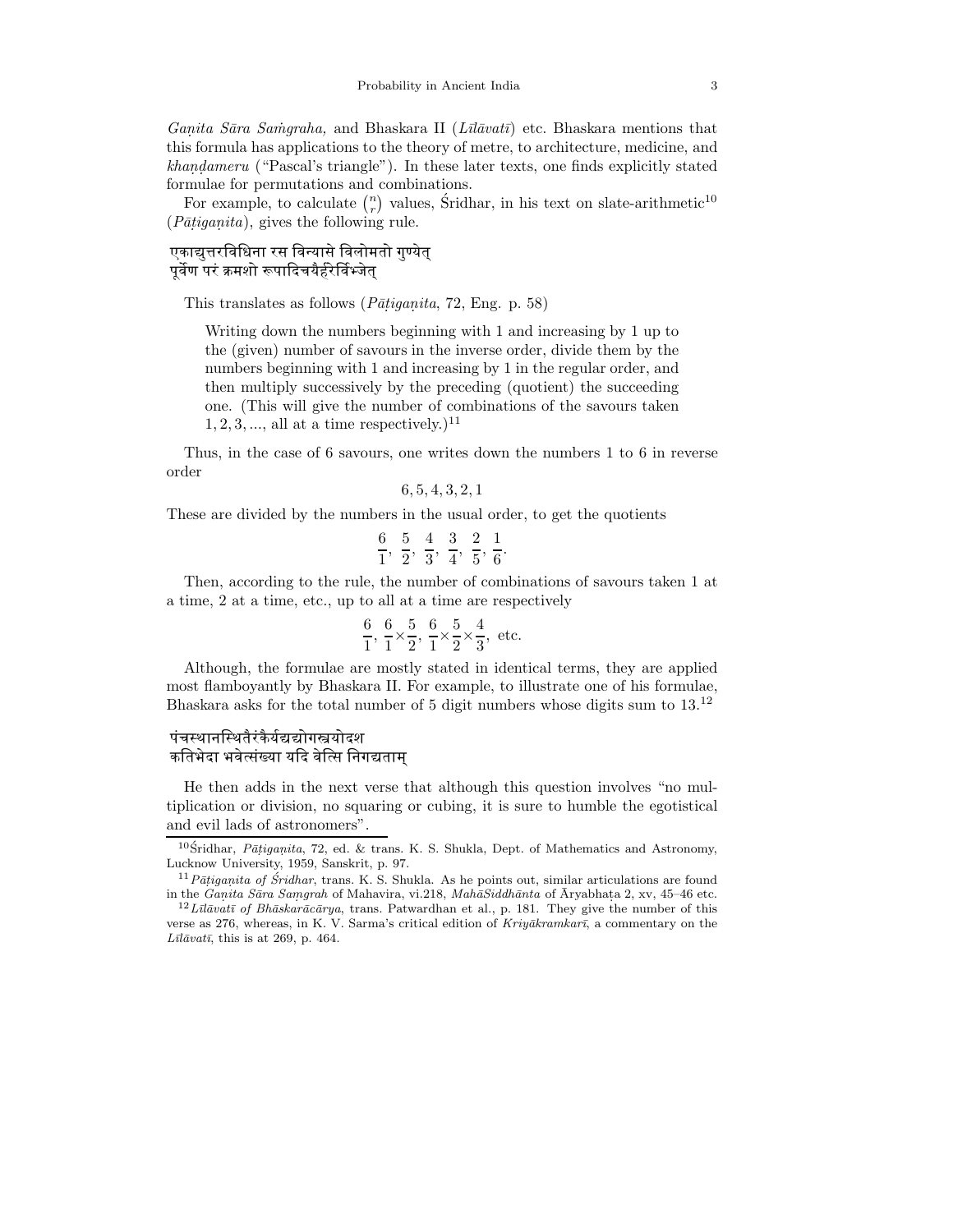*Ganita Sāra Samgraha*, and Bhaskara II (*Līlāvatī*) etc. Bhaskara mentions that this formula has applications to the theory of metre, to architecture, medicine, and *khandameru* ("Pascal's triangle"). In these later texts, one finds explicitly stated formulae for permutations and combinations.

For example, to calculate  $\binom{n}{r}$  values, Sridhar, in his text on slate-arithmetic<sup>10</sup> (*P¯at.igan. ita*), gives the following rule.

# एकाद्युत्तरविधिना रस विन्यासे विलोमतो गुण्येत् पूर्वेण परं क्रमशो रूपादिचयैर्हरेर्विभ्जेत्

This translates as follows (*P* $\bar{a}$ *tiganita*, 72, Eng. p. 58)

Writing down the numbers beginning with 1 and increasing by 1 up to the (given) number of savours in the inverse order, divide them by the numbers beginning with 1 and increasing by 1 in the regular order, and then multiply successively by the preceding (quotient) the succeeding one. (This will give the number of combinations of the savours taken  $1, 2, 3, \ldots$ , all at a time respectively.)<sup>11</sup>

Thus, in the case of 6 savours, one writes down the numbers 1 to 6 in reverse order

$$
6,5,4,3,2,1
$$

These are divided by the numbers in the usual order, to get the quotients

$$
\frac{6}{1},~\frac{5}{2},~\frac{4}{3},~\frac{3}{4},~\frac{2}{5},~\frac{1}{6}.
$$

Then, according to the rule, the number of combinations of savours taken 1 at a time, 2 at a time, etc., up to all at a time are respectively

$$
\frac{6}{1}, \frac{6}{1} \times \frac{5}{2}, \frac{6}{1} \times \frac{5}{2} \times \frac{4}{3}, \text{ etc.}
$$

Although, the formulae are mostly stated in identical terms, they are applied most flamboyantly by Bhaskara II. For example, to illustrate one of his formulae, Bhaskara asks for the total number of 5 digit numbers whose digits sum to 13.<sup>12</sup>

# पंचस्थानस्थितैरंकैर्यद्यद्योगस्त्रयोदश कतिभेदा भवेत्संख्या यदि वेत्सि निगद्यताम्

He then adds in the next verse that although this question involves "no multiplication or division, no squaring or cubing, it is sure to humble the egotistical and evil lads of astronomers".

<sup>&</sup>lt;sup>10</sup>Sridhar, Pātiganita, 72, ed. & trans. K. S. Shukla, Dept. of Mathematics and Astronomy, Lucknow University, 1959, Sanskrit, p. 97.

<sup>&</sup>lt;sup>11</sup> *Pātiganita of Śridhar*, trans. K. S. Shukla. As he points out, similar articulations are found in the *Ganita Sāra Samgrah* of Mahavira, vi.218, *MahāSiddhānta* of Āryabhaṭa 2, xv, 45–46 etc.

 $^{12}Li\bar{d}v$ atī of Bhāskarācārya, trans. Patwardhan et al., p. 181. They give the number of this verse as 276, whereas, in K. V. Sarma's critical edition of *Kriyākramkarī*, a commentary on the  $L\bar{u}a\bar{u}$ , this is at 269, p. 464.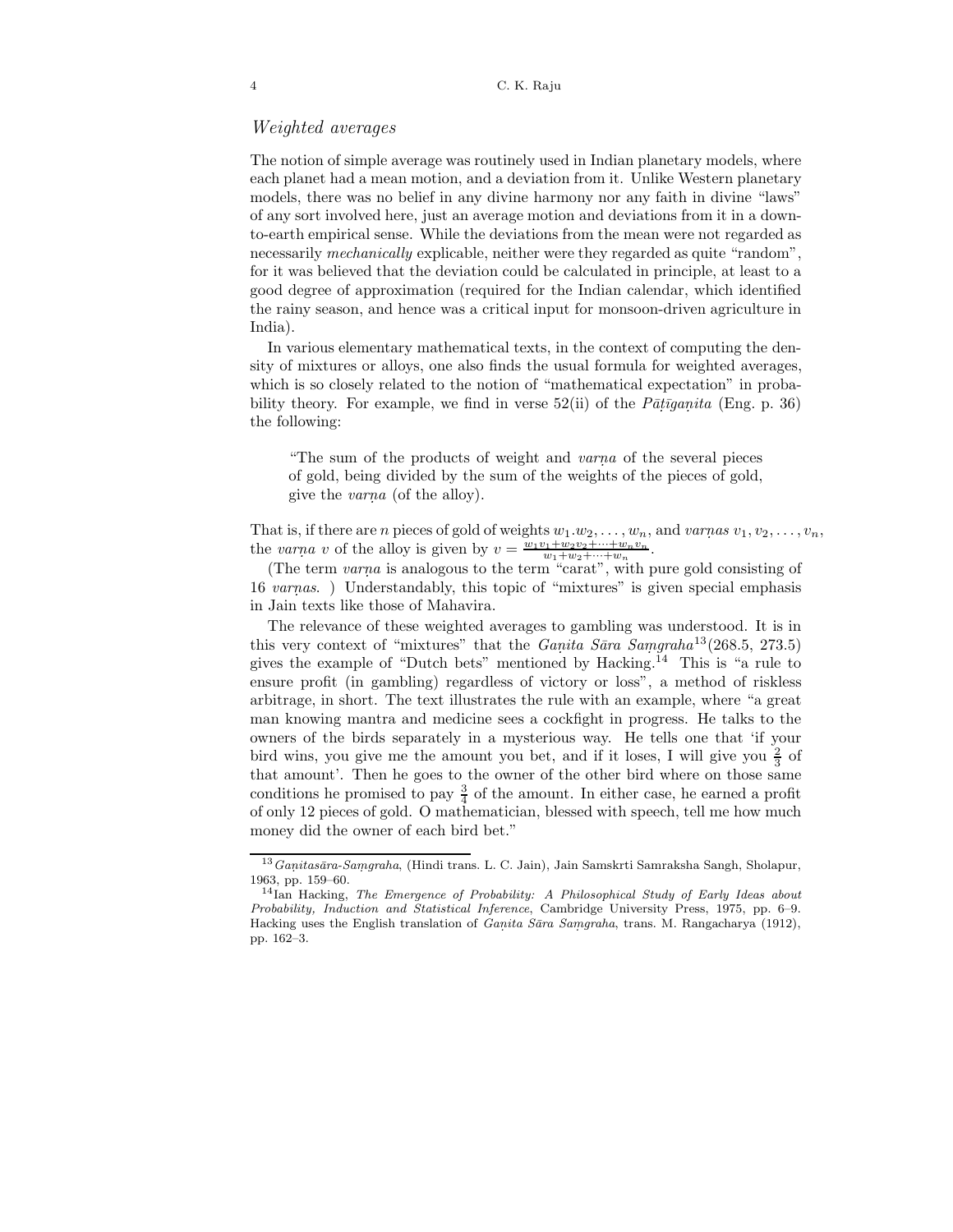## *Weighted averages*

The notion of simple average was routinely used in Indian planetary models, where each planet had a mean motion, and a deviation from it. Unlike Western planetary models, there was no belief in any divine harmony nor any faith in divine "laws" of any sort involved here, just an average motion and deviations from it in a downto-earth empirical sense. While the deviations from the mean were not regarded as necessarily *mechanically* explicable, neither were they regarded as quite "random", for it was believed that the deviation could be calculated in principle, at least to a good degree of approximation (required for the Indian calendar, which identified the rainy season, and hence was a critical input for monsoon-driven agriculture in India).

In various elementary mathematical texts, in the context of computing the density of mixtures or alloys, one also finds the usual formula for weighted averages, which is so closely related to the notion of "mathematical expectation" in probability theory. For example, we find in verse  $52(ii)$  of the *P* $\bar{a}t\bar{a}ganita$  (Eng. p. 36) the following:

"The sum of the products of weight and *varna* of the several pieces" of gold, being divided by the sum of the weights of the pieces of gold, give the *varna* (of the alloy).

That is, if there are *n* pieces of gold of weights  $w_1.w_2, \ldots, w_n$ , and *varnas*  $v_1, v_2, \ldots, v_n$ , the *varna v* of the alloy is given by  $v = \frac{w_1v_1 + w_2v_2 + \cdots + w_nv_n}{w_1 + w_2 + \cdots + w_n}$ .

(The term *varna* is analogous to the term "carat", with pure gold consisting of 16 *varn. as*. ) Understandably, this topic of "mixtures" is given special emphasis in Jain texts like those of Mahavira.

The relevance of these weighted averages to gambling was understood. It is in this very context of "mixtures" that the *Ganita Sara Samgraha*<sup>13</sup>(268.5, 273.5) gives the example of "Dutch bets" mentioned by Hacking.<sup>14</sup> This is "a rule to ensure profit (in gambling) regardless of victory or loss", a method of riskless arbitrage, in short. The text illustrates the rule with an example, where "a great man knowing mantra and medicine sees a cockfight in progress. He talks to the owners of the birds separately in a mysterious way. He tells one that 'if your bird wins, you give me the amount you bet, and if it loses, I will give you  $\frac{2}{3}$  of that amount'. Then he goes to the owner of the other bird where on those same conditions he promised to pay  $\frac{3}{4}$  of the amount. In either case, he earned a profit of only 12 pieces of gold. O mathematician, blessed with speech, tell me how much money did the owner of each bird bet."

 $^{13}\,Ganitasāra-Samgraha,$  (Hindi trans. L. C. Jain), Jain Samskrti Samraksha Sangh, Sholapur, 1963, pp. 159–60. <sup>14</sup>Ian Hacking, *The Emergence of Probability: A Philosophical Study of Early Ideas about*

*Probability, Induction and Statistical Inference*, Cambridge University Press, 1975, pp. 6–9. Hacking uses the English translation of *Ganita Sara Samgraha*, trans. M. Rangacharya (1912), pp. 162–3.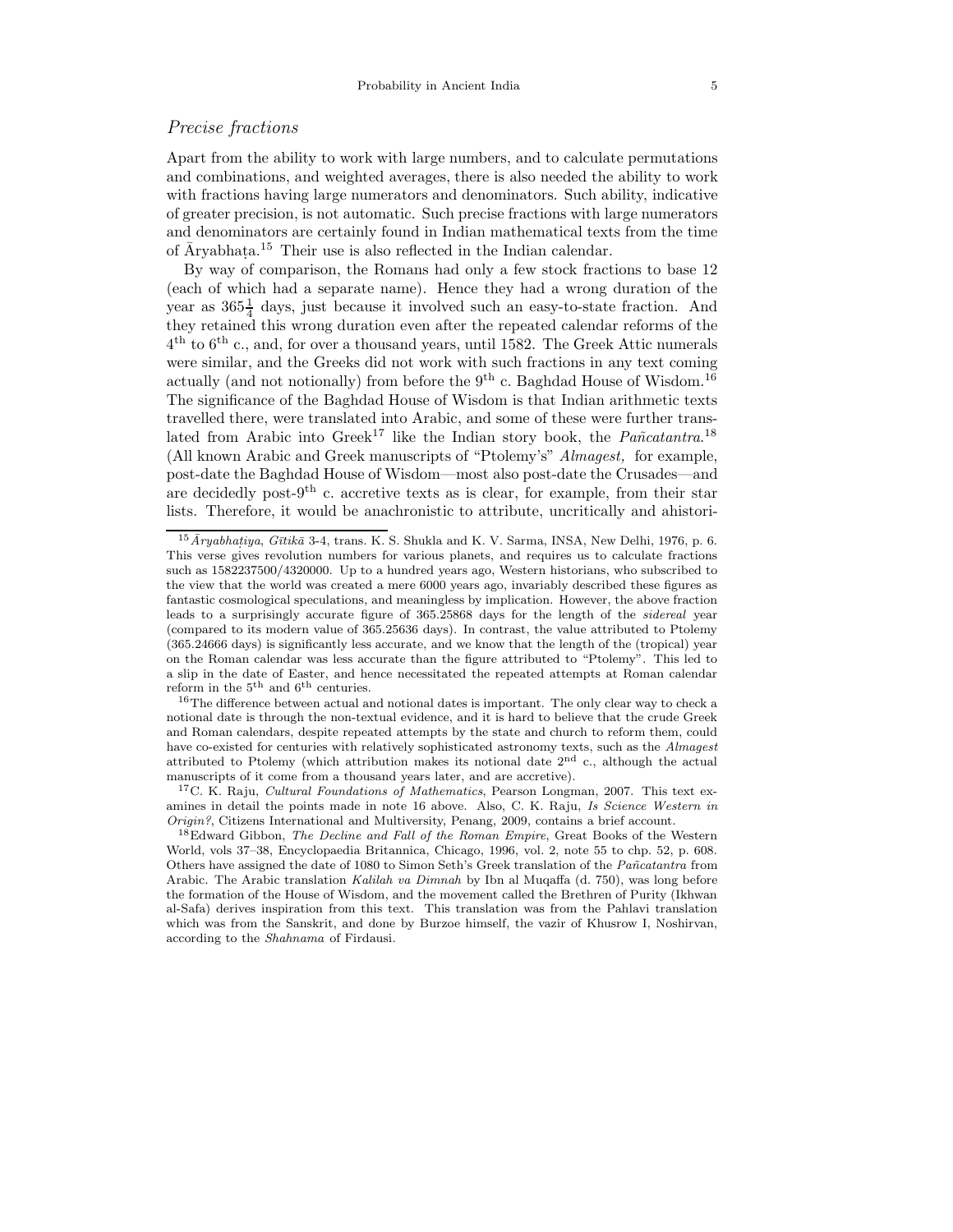# *Precise fractions*

Apart from the ability to work with large numbers, and to calculate permutations and combinations, and weighted averages, there is also needed the ability to work with fractions having large numerators and denominators. Such ability, indicative of greater precision, is not automatic. Such precise fractions with large numerators and denominators are certainly found in Indian mathematical texts from the time of  $\bar{A}$ ryabhata.<sup>15</sup> Their use is also reflected in the Indian calendar.

By way of comparison, the Romans had only a few stock fractions to base 12 (each of which had a separate name). Hence they had a wrong duration of the year as  $365\frac{1}{4}$  days, just because it involved such an easy-to-state fraction. And they retained this wrong duration even after the repeated calendar reforms of the 4th to 6th c., and, for over a thousand years, until 1582. The Greek Attic numerals were similar, and the Greeks did not work with such fractions in any text coming actually (and not notionally) from before the 9<sup>th</sup> c. Baghdad House of Wisdom.<sup>16</sup> The significance of the Baghdad House of Wisdom is that Indian arithmetic texts travelled there, were translated into Arabic, and some of these were further translated from Arabic into Greek<sup>17</sup> like the Indian story book, the *Pañcatantra*.<sup>18</sup> (All known Arabic and Greek manuscripts of "Ptolemy's" *Almagest,* for example, post-date the Baghdad House of Wisdom—most also post-date the Crusades—and are decidedly post-9<sup>th</sup> c. accretive texts as is clear, for example, from their star lists. Therefore, it would be anachronistic to attribute, uncritically and ahistori-

<sup>&</sup>lt;sup>15</sup>*Aryabhatiya, Gītikā* 3-4, trans. K. S. Shukla and K. V. Sarma, INSA, New Delhi, 1976, p. 6. This verse gives revolution numbers for various planets, and requires us to calculate fractions such as 1582237500/4320000. Up to a hundred years ago, Western historians, who subscribed to the view that the world was created a mere 6000 years ago, invariably described these figures as fantastic cosmological speculations, and meaningless by implication. However, the above fraction leads to a surprisingly accurate figure of 365.25868 days for the length of the *sidereal* year (compared to its modern value of 365.25636 days). In contrast, the value attributed to Ptolemy (365.24666 days) is significantly less accurate, and we know that the length of the (tropical) year on the Roman calendar was less accurate than the figure attributed to "Ptolemy". This led to a slip in the date of Easter, and hence necessitated the repeated attempts at Roman calendar reform in the  $5^{\text{th}}$  and  $6^{\text{th}}$  centuries.

 $16$ The difference between actual and notional dates is important. The only clear way to check a notional date is through the non-textual evidence, and it is hard to believe that the crude Greek and Roman calendars, despite repeated attempts by the state and church to reform them, could have co-existed for centuries with relatively sophisticated astronomy texts, such as the *Almagest* attributed to Ptolemy (which attribution makes its notional date 2nd c., although the actual manuscripts of it come from a thousand years later, and are accretive).<br><sup>17</sup>C. K. Raju, *Cultural Foundations of Mathematics*, Pearson Longman, 2007. This text ex-

amines in detail the points made in note 16 above. Also, C. K. Raju, *Is Science Western in Origin?*, Citizens International and Multiversity, Penang, 2009, contains a brief account. <sup>18</sup>Edward Gibbon, *The Decline and Fall of the Roman Empire*, Great Books of the Western

World, vols 37–38, Encyclopaedia Britannica, Chicago, 1996, vol. 2, note 55 to chp. 52, p. 608. Others have assigned the date of 1080 to Simon Seth's Greek translation of the *Pa˜ncatantra* from Arabic. The Arabic translation *Kalilah va Dimnah* by Ibn al Muqaffa (d. 750), was long before the formation of the House of Wisdom, and the movement called the Brethren of Purity (Ikhwan al-Safa) derives inspiration from this text. This translation was from the Pahlavi translation which was from the Sanskrit, and done by Burzoe himself, the vazir of Khusrow I, Noshirvan, according to the *Shahnama* of Firdausi.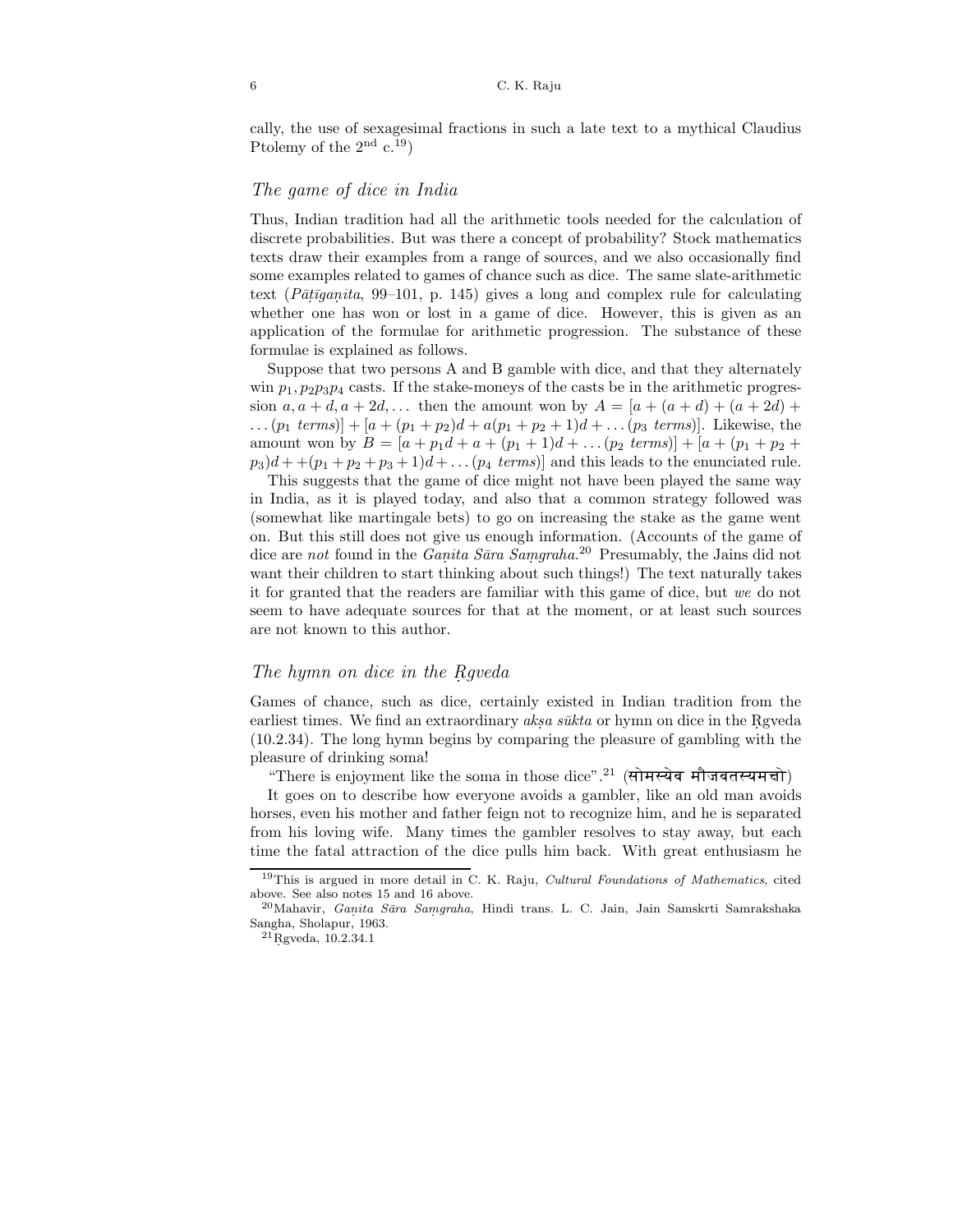cally, the use of sexagesimal fractions in such a late text to a mythical Claudius Ptolemy of the  $2<sup>nd</sup>$  c.<sup>19</sup>)

# *The game of dice in India*

Thus, Indian tradition had all the arithmetic tools needed for the calculation of discrete probabilities. But was there a concept of probability? Stock mathematics texts draw their examples from a range of sources, and we also occasionally find some examples related to games of chance such as dice. The same slate-arithmetic text ( $Pātīganita$ , 99–101, p. 145) gives a long and complex rule for calculating whether one has won or lost in a game of dice. However, this is given as an application of the formulae for arithmetic progression. The substance of these formulae is explained as follows.

Suppose that two persons A and B gamble with dice, and that they alternately win  $p_1, p_2p_3p_4$  casts. If the stake-moneys of the casts be in the arithmetic progression  $a, a + d, a + 2d, \ldots$  then the amount won by  $A = [a + (a + d) + (a + 2d) +$ ... $(p_1 \text{ terms})] + [a + (p_1 + p_2)d + a(p_1 + p_2 + 1)d + \dots (p_3 \text{ terms})].$  Likewise, the amount won by  $B = [a + p_1d + a + (p_1 + 1)d + \dots (p_2 \text{ terms})] + [a + (p_1 + p_2 +$  $p_3)d + (p_1 + p_2 + p_3 + 1)d + \dots (p_4 \text{ terms})]$  and this leads to the enunciated rule.

This suggests that the game of dice might not have been played the same way in India, as it is played today, and also that a common strategy followed was (somewhat like martingale bets) to go on increasing the stake as the game went on. But this still does not give us enough information. (Accounts of the game of dice are *not* found in the *Ganita Sara Samgraha*<sup>20</sup> Presumably, the Jains did not want their children to start thinking about such things!) The text naturally takes it for granted that the readers are familiar with this game of dice, but *we* do not seem to have adequate sources for that at the moment, or at least such sources are not known to this author.

#### *The hymn on dice in the Rqveda*

Games of chance, such as dice, certainly existed in Indian tradition from the earliest times. We find an extraordinary *aksa sūkta* or hymn on dice in the Rgyeda (10.2.34). The long hymn begins by comparing the pleasure of gambling with the pleasure of drinking soma!

"There is enjoyment like the soma in those dice".<sup>21</sup> (सोमस्येव मौजवतस्यमचो)

It goes on to describe how everyone avoids a gambler, like an old man avoids horses, even his mother and father feign not to recognize him, and he is separated from his loving wife. Many times the gambler resolves to stay away, but each time the fatal attraction of the dice pulls him back. With great enthusiasm he

<sup>19</sup>This is argued in more detail in C. K. Raju, *Cultural Foundations of Mathematics*, cited

above. See also notes 15 and 16 above.<br><sup>20</sup>Mahavir, *Ganita Sāra Samgraha*, Hindi trans. L. C. Jain, Jain Samskrti Samrakshaka<br>Sangha, Sholapur, 1963.

 ${}^{21}$ Rgveda, 10.2.34.1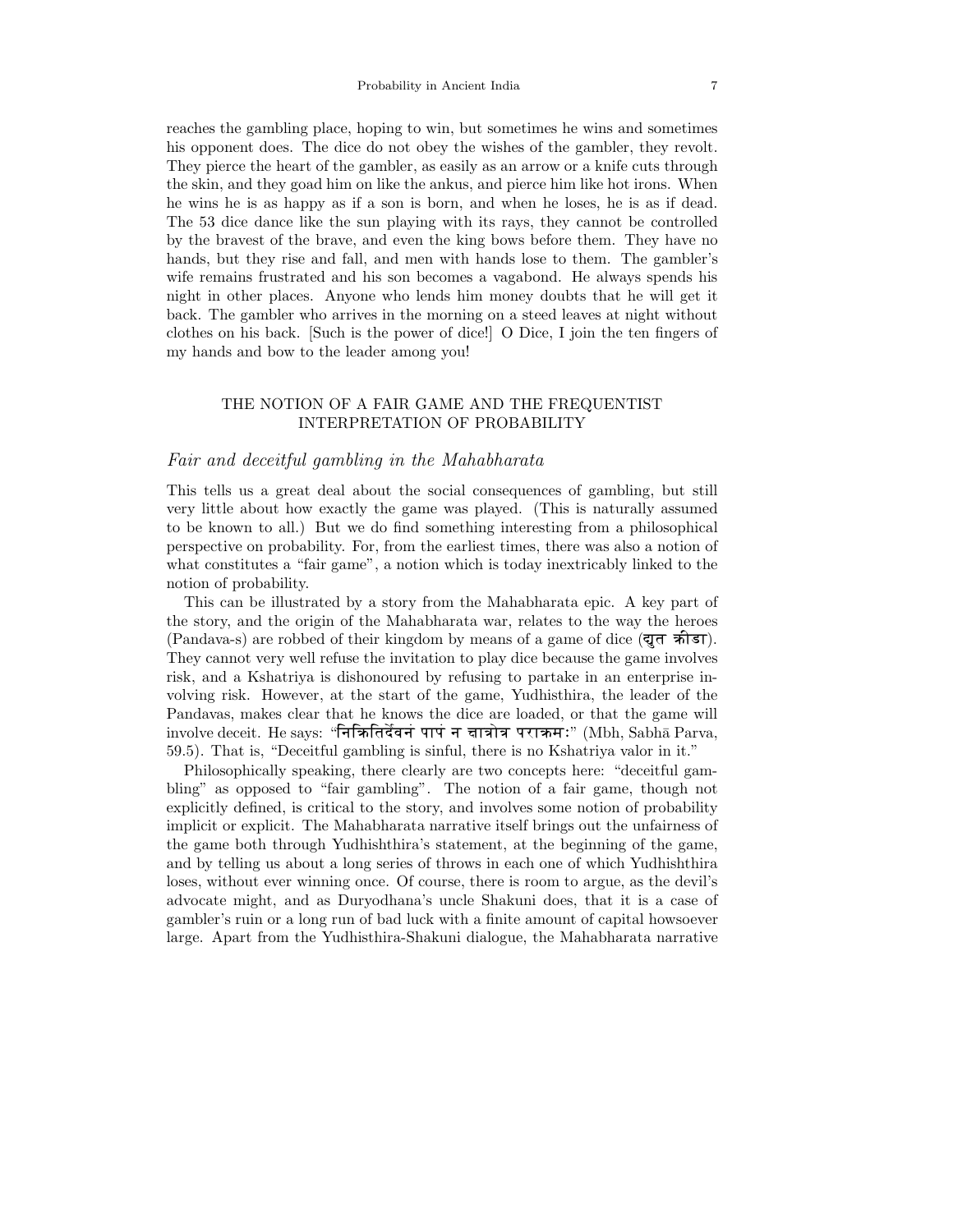reaches the gambling place, hoping to win, but sometimes he wins and sometimes his opponent does. The dice do not obey the wishes of the gambler, they revolt. They pierce the heart of the gambler, as easily as an arrow or a knife cuts through the skin, and they goad him on like the ankus, and pierce him like hot irons. When he wins he is as happy as if a son is born, and when he loses, he is as if dead. The 53 dice dance like the sun playing with its rays, they cannot be controlled by the bravest of the brave, and even the king bows before them. They have no hands, but they rise and fall, and men with hands lose to them. The gambler's wife remains frustrated and his son becomes a vagabond. He always spends his night in other places. Anyone who lends him money doubts that he will get it back. The gambler who arrives in the morning on a steed leaves at night without clothes on his back. [Such is the power of dice!] O Dice, I join the ten fingers of my hands and bow to the leader among you!

# THE NOTION OF A FAIR GAME AND THE FREQUENTIST INTERPRETATION OF PROBABILITY

#### *Fair and deceitful gambling in the Mahabharata*

This tells us a great deal about the social consequences of gambling, but still very little about how exactly the game was played. (This is naturally assumed to be known to all.) But we do find something interesting from a philosophical perspective on probability. For, from the earliest times, there was also a notion of what constitutes a "fair game", a notion which is today inextricably linked to the notion of probability.

This can be illustrated by a story from the Mahabharata epic. A key part of the story, and the origin of the Mahabharata war, relates to the way the heroes  $(Pandava-s)$  are robbed of their kingdom by means of a game of dice  $(\overline{q}\overline{\sigma}, \overline{\tau})$ . They cannot very well refuse the invitation to play dice because the game involves risk, and a Kshatriya is dishonoured by refusing to partake in an enterprise involving risk. However, at the start of the game, Yudhisthira, the leader of the Pandavas, makes clear that he knows the dice are loaded, or that the game will involve deceit. He says: "निकितिर्देवनं पापं न चात्रोत्र पराक्रमः" (Mbh, Sabhā Parva, 59.5). That is, "Deceitful gambling is sinful, there is no Kshatriya valor in it."

Philosophically speaking, there clearly are two concepts here: "deceitful gambling" as opposed to "fair gambling". The notion of a fair game, though not explicitly defined, is critical to the story, and involves some notion of probability implicit or explicit. The Mahabharata narrative itself brings out the unfairness of the game both through Yudhishthira's statement, at the beginning of the game, and by telling us about a long series of throws in each one of which Yudhishthira loses, without ever winning once. Of course, there is room to argue, as the devil's advocate might, and as Duryodhana's uncle Shakuni does, that it is a case of gambler's ruin or a long run of bad luck with a finite amount of capital howsoever large. Apart from the Yudhisthira-Shakuni dialogue, the Mahabharata narrative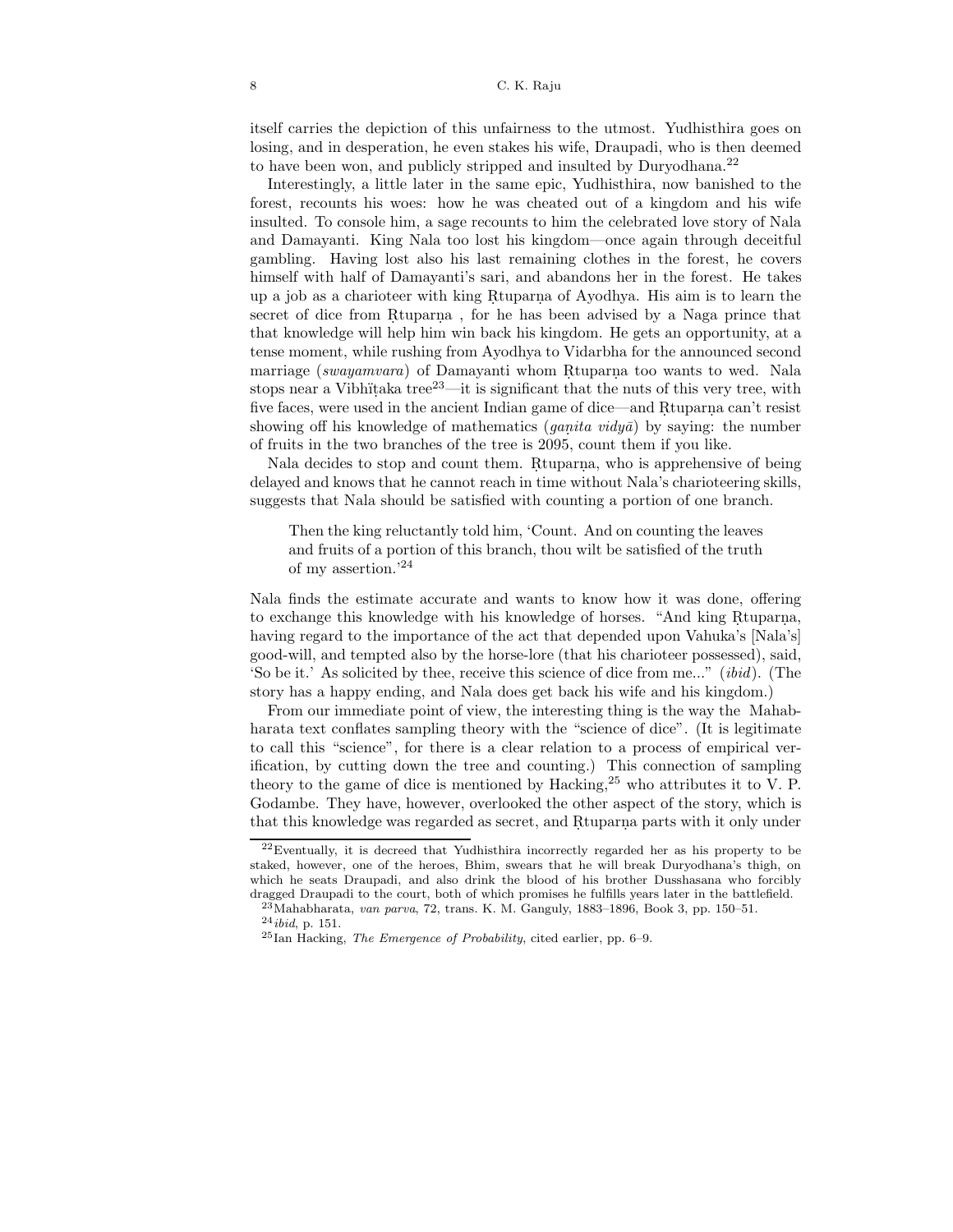itself carries the depiction of this unfairness to the utmost. Yudhisthira goes on losing, and in desperation, he even stakes his wife, Draupadi, who is then deemed to have been won, and publicly stripped and insulted by Duryodhana.<sup>22</sup>

Interestingly, a little later in the same epic, Yudhisthira, now banished to the forest, recounts his woes: how he was cheated out of a kingdom and his wife insulted. To console him, a sage recounts to him the celebrated love story of Nala and Damayanti. King Nala too lost his kingdom—once again through deceitful gambling. Having lost also his last remaining clothes in the forest, he covers himself with half of Damayanti's sari, and abandons her in the forest. He takes up a job as a charioteer with king R. tuparn. a of Ayodhya. His aim is to learn the secret of dice from Rtuparna, for he has been advised by a Naga prince that that knowledge will help him win back his kingdom. He gets an opportunity, at a tense moment, while rushing from Ayodhya to Vidarbha for the announced second marriage (*swayamvara*) of Damayanti whom Rtuparna too wants to wed. Nala stops near a Vibhitaka tree<sup>23</sup>—it is significant that the nuts of this very tree, with five faces, were used in the ancient Indian game of dice—and Rtuparna can't resist showing off his knowledge of mathematics (*ganita vidya*) by saying: the number of fruits in the two branches of the tree is 2095, count them if you like.

Nala decides to stop and count them. Retuparna, who is apprehensive of being delayed and knows that he cannot reach in time without Nala's charioteering skills, suggests that Nala should be satisfied with counting a portion of one branch.

Then the king reluctantly told him, 'Count. And on counting the leaves and fruits of a portion of this branch, thou wilt be satisfied of the truth of my assertion.'<sup>24</sup>

Nala finds the estimate accurate and wants to know how it was done, offering to exchange this knowledge with his knowledge of horses. "And king Rtuparna, having regard to the importance of the act that depended upon Vahuka's [Nala's] good-will, and tempted also by the horse-lore (that his charioteer possessed), said, 'So be it.' As solicited by thee, receive this science of dice from me..." (*ibid*). (The story has a happy ending, and Nala does get back his wife and his kingdom.)

From our immediate point of view, the interesting thing is the way the Mahabharata text conflates sampling theory with the "science of dice". (It is legitimate to call this "science", for there is a clear relation to a process of empirical verification, by cutting down the tree and counting.) This connection of sampling theory to the game of dice is mentioned by Hacking,  $2^5$  who attributes it to V. P. Godambe. They have, however, overlooked the other aspect of the story, which is that this knowledge was regarded as secret, and Rtuparna parts with it only under

 $^{22}$ Eventually, it is decreed that Yudhisthira incorrectly regarded her as his property to be staked, however, one of the heroes, Bhim, swears that he will break Duryodhana's thigh, on which he seats Draupadi, and also drink the blood of his brother Dusshasana who forcibly

dragged Draupadi to the court, both of which promises he fulfills years later in the battlefield. <sup>23</sup>Mahabharata, *van parva*, 72, trans. K. M. Ganguly, 1883–1896, Book 3, pp. 150–51.<br><sup>24</sup>*ibid*, p. 151.<br><sup>25</sup>Ian Hacking,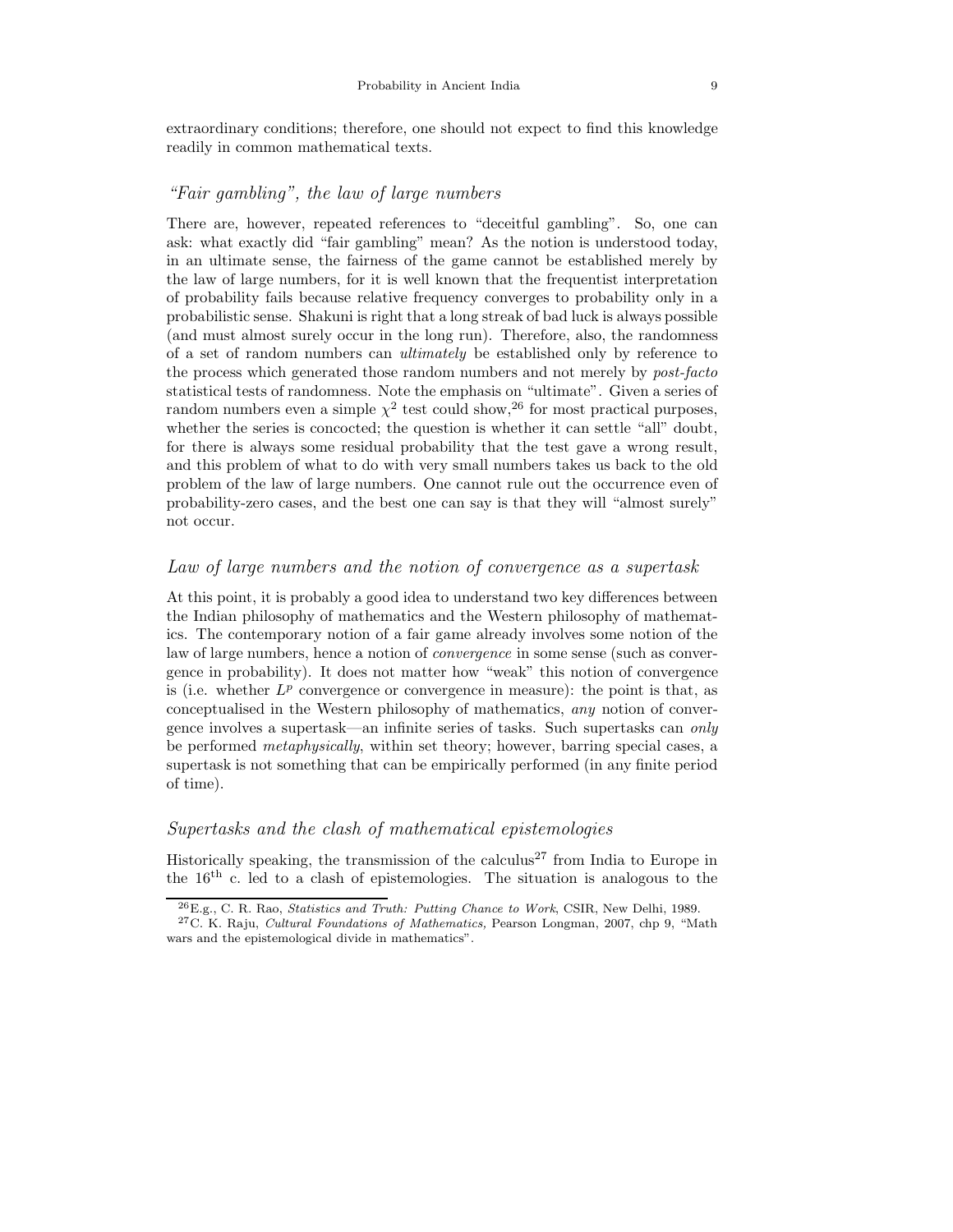extraordinary conditions; therefore, one should not expect to find this knowledge readily in common mathematical texts.

### *"Fair gambling", the law of large numbers*

There are, however, repeated references to "deceitful gambling". So, one can ask: what exactly did "fair gambling" mean? As the notion is understood today, in an ultimate sense, the fairness of the game cannot be established merely by the law of large numbers, for it is well known that the frequentist interpretation of probability fails because relative frequency converges to probability only in a probabilistic sense. Shakuni is right that a long streak of bad luck is always possible (and must almost surely occur in the long run). Therefore, also, the randomness of a set of random numbers can *ultimately* be established only by reference to the process which generated those random numbers and not merely by *post-facto* statistical tests of randomness. Note the emphasis on "ultimate". Given a series of random numbers even a simple  $\chi^2$  test could show,<sup>26</sup> for most practical purposes, whether the series is concocted; the question is whether it can settle "all" doubt, for there is always some residual probability that the test gave a wrong result, and this problem of what to do with very small numbers takes us back to the old problem of the law of large numbers. One cannot rule out the occurrence even of probability-zero cases, and the best one can say is that they will "almost surely" not occur.

# *Law of large numbers and the notion of convergence as a supertask*

At this point, it is probably a good idea to understand two key differences between the Indian philosophy of mathematics and the Western philosophy of mathematics. The contemporary notion of a fair game already involves some notion of the law of large numbers, hence a notion of *convergence* in some sense (such as convergence in probability). It does not matter how "weak" this notion of convergence is (i.e. whether  $L^p$  convergence or convergence in measure): the point is that, as conceptualised in the Western philosophy of mathematics, *any* notion of convergence involves a supertask—an infinite series of tasks. Such supertasks can *only* be performed *metaphysically*, within set theory; however, barring special cases, a supertask is not something that can be empirically performed (in any finite period of time).

# *Supertasks and the clash of mathematical epistemologies*

Historically speaking, the transmission of the calculus<sup>27</sup> from India to Europe in the 16th c. led to a clash of epistemologies. The situation is analogous to the

<sup>26</sup>E.g., C. R. Rao, *Statistics and Truth: Putting Chance to Work*, CSIR, New Delhi, 1989. <sup>27</sup>C. K. Raju, *Cultural Foundations of Mathematics,* Pearson Longman, 2007, chp 9, "Math

wars and the epistemological divide in mathematics".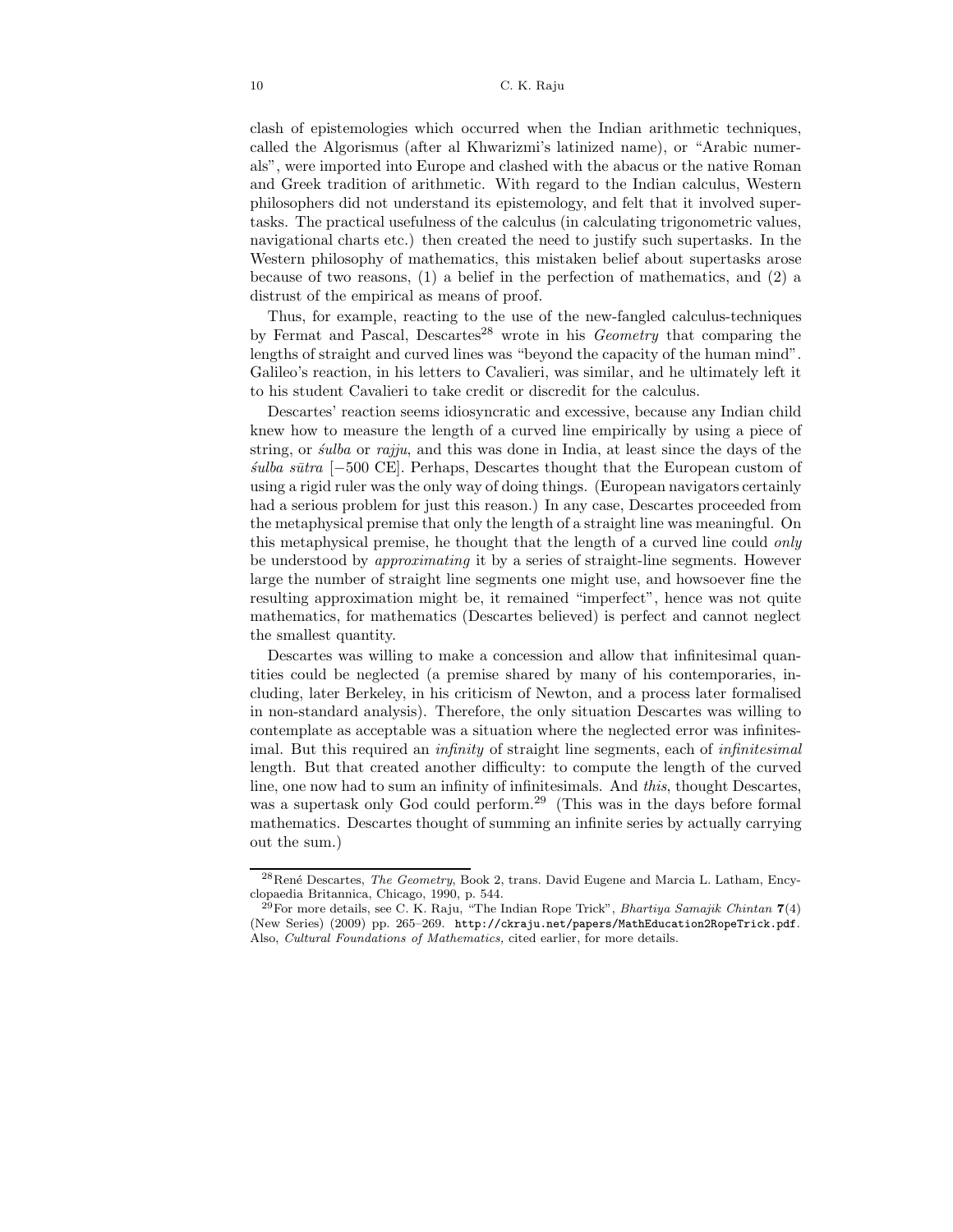clash of epistemologies which occurred when the Indian arithmetic techniques, called the Algorismus (after al Khwarizmi's latinized name), or "Arabic numerals", were imported into Europe and clashed with the abacus or the native Roman and Greek tradition of arithmetic. With regard to the Indian calculus, Western philosophers did not understand its epistemology, and felt that it involved supertasks. The practical usefulness of the calculus (in calculating trigonometric values, navigational charts etc.) then created the need to justify such supertasks. In the Western philosophy of mathematics, this mistaken belief about supertasks arose because of two reasons, (1) a belief in the perfection of mathematics, and (2) a distrust of the empirical as means of proof.

Thus, for example, reacting to the use of the new-fangled calculus-techniques by Fermat and Pascal, Descartes<sup>28</sup> wrote in his *Geometry* that comparing the lengths of straight and curved lines was "beyond the capacity of the human mind". Galileo's reaction, in his letters to Cavalieri, was similar, and he ultimately left it to his student Cavalieri to take credit or discredit for the calculus.

Descartes' reaction seems idiosyncratic and excessive, because any Indian child knew how to measure the length of a curved line empirically by using a piece of string, or *sulba* or *rajju*, and this was done in India, at least since the days of the *šulba sūtra* [−500 CE]. Perhaps, Descartes thought that the European custom of using a rigid ruler was the only way of doing things. (European navigators certainly had a serious problem for just this reason.) In any case, Descartes proceeded from the metaphysical premise that only the length of a straight line was meaningful. On this metaphysical premise, he thought that the length of a curved line could *only* be understood by *approximating* it by a series of straight-line segments. However large the number of straight line segments one might use, and howsoever fine the resulting approximation might be, it remained "imperfect", hence was not quite mathematics, for mathematics (Descartes believed) is perfect and cannot neglect the smallest quantity.

Descartes was willing to make a concession and allow that infinitesimal quantities could be neglected (a premise shared by many of his contemporaries, including, later Berkeley, in his criticism of Newton, and a process later formalised in non-standard analysis). Therefore, the only situation Descartes was willing to contemplate as acceptable was a situation where the neglected error was infinitesimal. But this required an *infinity* of straight line segments, each of *infinitesimal* length. But that created another difficulty: to compute the length of the curved line, one now had to sum an infinity of infinitesimals. And *this*, thought Descartes, was a supertask only God could perform.<sup>29</sup> (This was in the days before formal mathematics. Descartes thought of summing an infinite series by actually carrying out the sum.)

<sup>&</sup>lt;sup>28</sup>René Descartes, *The Geometry*, Book 2, trans. David Eugene and Marcia L. Latham, Encyclopaedia Britannica, Chicago, 1990, p. 544. <sup>29</sup>For more details, see C. K. Raju, "The Indian Rope Trick", *Bhartiya Samajik Chintan* **<sup>7</sup>**(4)

<sup>(</sup>New Series) (2009) pp. 265–269. http://ckraju.net/papers/MathEducation2RopeTrick.pdf. Also, *Cultural Foundations of Mathematics,* cited earlier, for more details.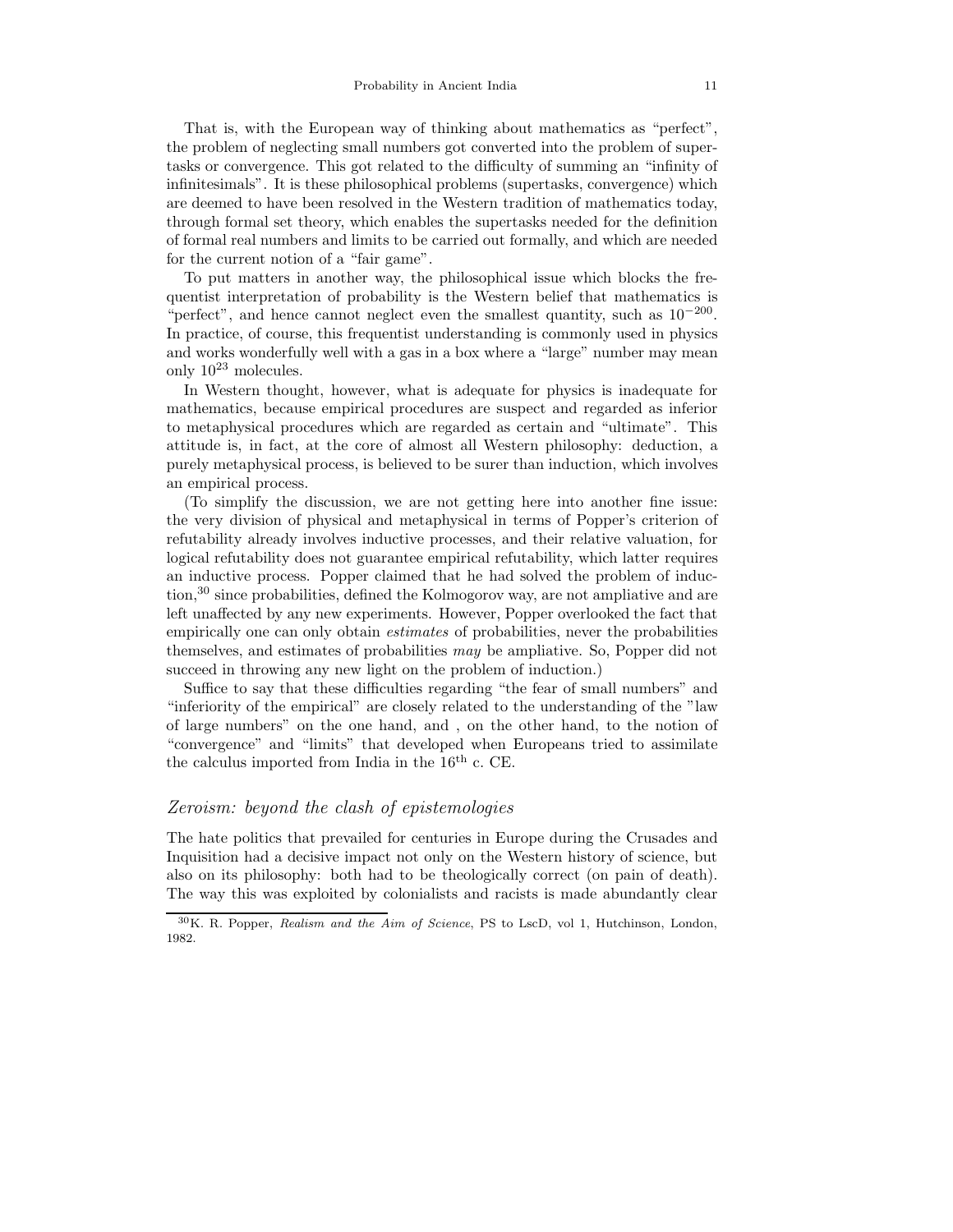That is, with the European way of thinking about mathematics as "perfect", the problem of neglecting small numbers got converted into the problem of supertasks or convergence. This got related to the difficulty of summing an "infinity of infinitesimals". It is these philosophical problems (supertasks, convergence) which are deemed to have been resolved in the Western tradition of mathematics today, through formal set theory, which enables the supertasks needed for the definition of formal real numbers and limits to be carried out formally, and which are needed for the current notion of a "fair game".

To put matters in another way, the philosophical issue which blocks the frequentist interpretation of probability is the Western belief that mathematics is "perfect", and hence cannot neglect even the smallest quantity, such as 10*−*200. In practice, of course, this frequentist understanding is commonly used in physics and works wonderfully well with a gas in a box where a "large" number may mean only 10<sup>23</sup> molecules.

In Western thought, however, what is adequate for physics is inadequate for mathematics, because empirical procedures are suspect and regarded as inferior to metaphysical procedures which are regarded as certain and "ultimate". This attitude is, in fact, at the core of almost all Western philosophy: deduction, a purely metaphysical process, is believed to be surer than induction, which involves an empirical process.

(To simplify the discussion, we are not getting here into another fine issue: the very division of physical and metaphysical in terms of Popper's criterion of refutability already involves inductive processes, and their relative valuation, for logical refutability does not guarantee empirical refutability, which latter requires an inductive process. Popper claimed that he had solved the problem of induction,<sup>30</sup> since probabilities, defined the Kolmogorov way, are not ampliative and are left unaffected by any new experiments. However, Popper overlooked the fact that empirically one can only obtain *estimates* of probabilities, never the probabilities themselves, and estimates of probabilities *may* be ampliative. So, Popper did not succeed in throwing any new light on the problem of induction.)

Suffice to say that these difficulties regarding "the fear of small numbers" and "inferiority of the empirical" are closely related to the understanding of the "law of large numbers" on the one hand, and , on the other hand, to the notion of "convergence" and "limits" that developed when Europeans tried to assimilate the calculus imported from India in the  $16<sup>th</sup>$  c. CE.

# *Zeroism: beyond the clash of epistemologies*

The hate politics that prevailed for centuries in Europe during the Crusades and Inquisition had a decisive impact not only on the Western history of science, but also on its philosophy: both had to be theologically correct (on pain of death). The way this was exploited by colonialists and racists is made abundantly clear

<sup>30</sup>K. R. Popper, *Realism and the Aim of Science*, PS to LscD, vol 1, Hutchinson, London, 1982.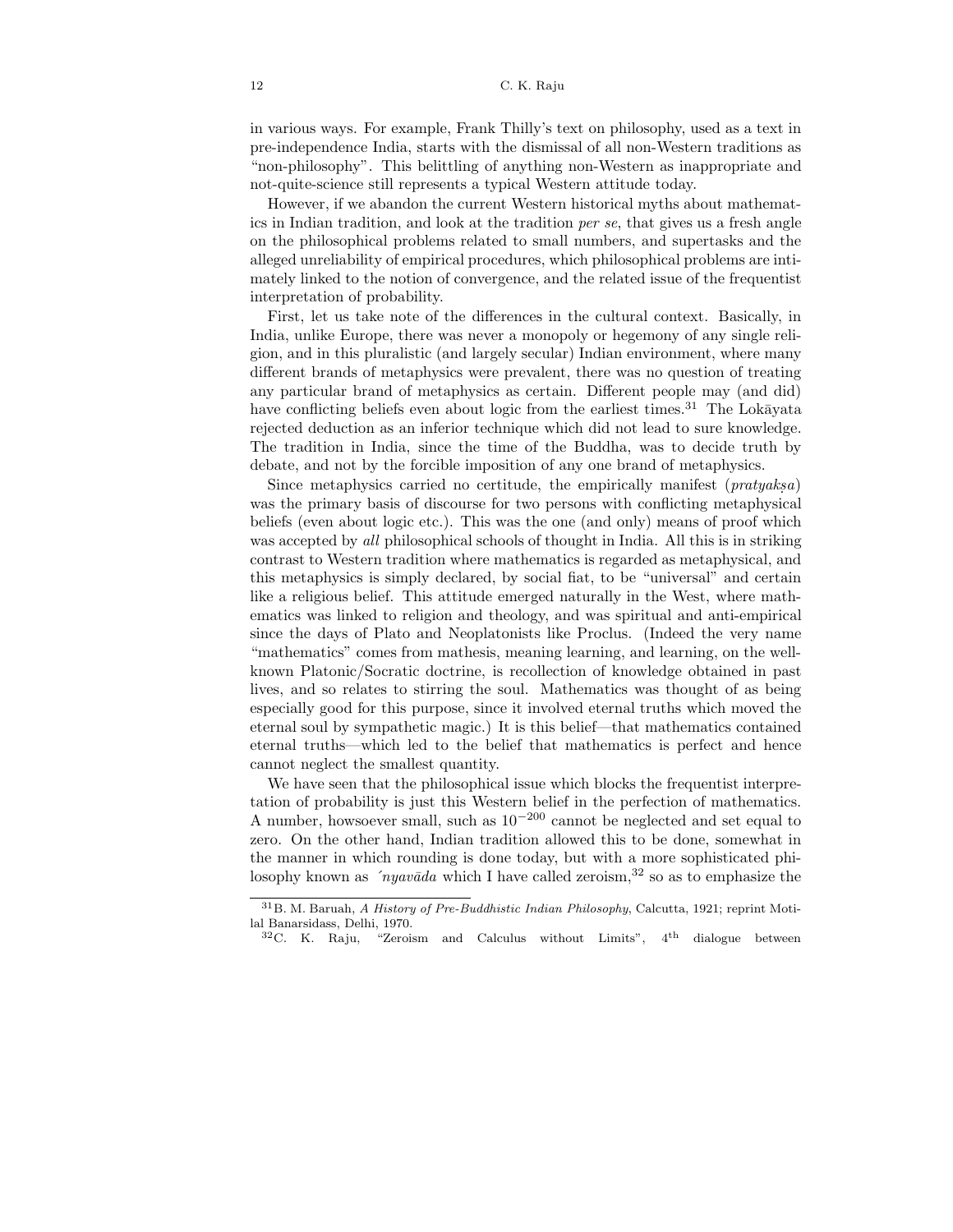in various ways. For example, Frank Thilly's text on philosophy, used as a text in pre-independence India, starts with the dismissal of all non-Western traditions as "non-philosophy". This belittling of anything non-Western as inappropriate and not-quite-science still represents a typical Western attitude today.

However, if we abandon the current Western historical myths about mathematics in Indian tradition, and look at the tradition *per se*, that gives us a fresh angle on the philosophical problems related to small numbers, and supertasks and the alleged unreliability of empirical procedures, which philosophical problems are intimately linked to the notion of convergence, and the related issue of the frequentist interpretation of probability.

First, let us take note of the differences in the cultural context. Basically, in India, unlike Europe, there was never a monopoly or hegemony of any single religion, and in this pluralistic (and largely secular) Indian environment, where many different brands of metaphysics were prevalent, there was no question of treating any particular brand of metaphysics as certain. Different people may (and did) have conflicting beliefs even about logic from the earliest times.<sup>31</sup> The Lok $\bar{a}$ yata rejected deduction as an inferior technique which did not lead to sure knowledge. The tradition in India, since the time of the Buddha, was to decide truth by debate, and not by the forcible imposition of any one brand of metaphysics.

Since metaphysics carried no certitude, the empirically manifest (*pratyaksa*) was the primary basis of discourse for two persons with conflicting metaphysical beliefs (even about logic etc.). This was the one (and only) means of proof which was accepted by *all* philosophical schools of thought in India. All this is in striking contrast to Western tradition where mathematics is regarded as metaphysical, and this metaphysics is simply declared, by social fiat, to be "universal" and certain like a religious belief. This attitude emerged naturally in the West, where mathematics was linked to religion and theology, and was spiritual and anti-empirical since the days of Plato and Neoplatonists like Proclus. (Indeed the very name "mathematics" comes from mathesis, meaning learning, and learning, on the wellknown Platonic/Socratic doctrine, is recollection of knowledge obtained in past lives, and so relates to stirring the soul. Mathematics was thought of as being especially good for this purpose, since it involved eternal truths which moved the eternal soul by sympathetic magic.) It is this belief—that mathematics contained eternal truths—which led to the belief that mathematics is perfect and hence cannot neglect the smallest quantity.

We have seen that the philosophical issue which blocks the frequentist interpretation of probability is just this Western belief in the perfection of mathematics. A number, howsoever small, such as 10*−*<sup>200</sup> cannot be neglected and set equal to zero. On the other hand, Indian tradition allowed this to be done, somewhat in the manner in which rounding is done today, but with a more sophisticated philosophy known as *´nyavāda* which I have called zeroism,<sup>32</sup> so as to emphasize the

<sup>31</sup>B. M. Baruah, *A History of Pre-Buddhistic Indian Philosophy*, Calcutta, 1921; reprint Motilal Banarsidass, Delhi, 1970.<br> $32C.$  K. Raju, "Zeroism and Calculus without Limits",  $4^{\text{th}}$  dialogue between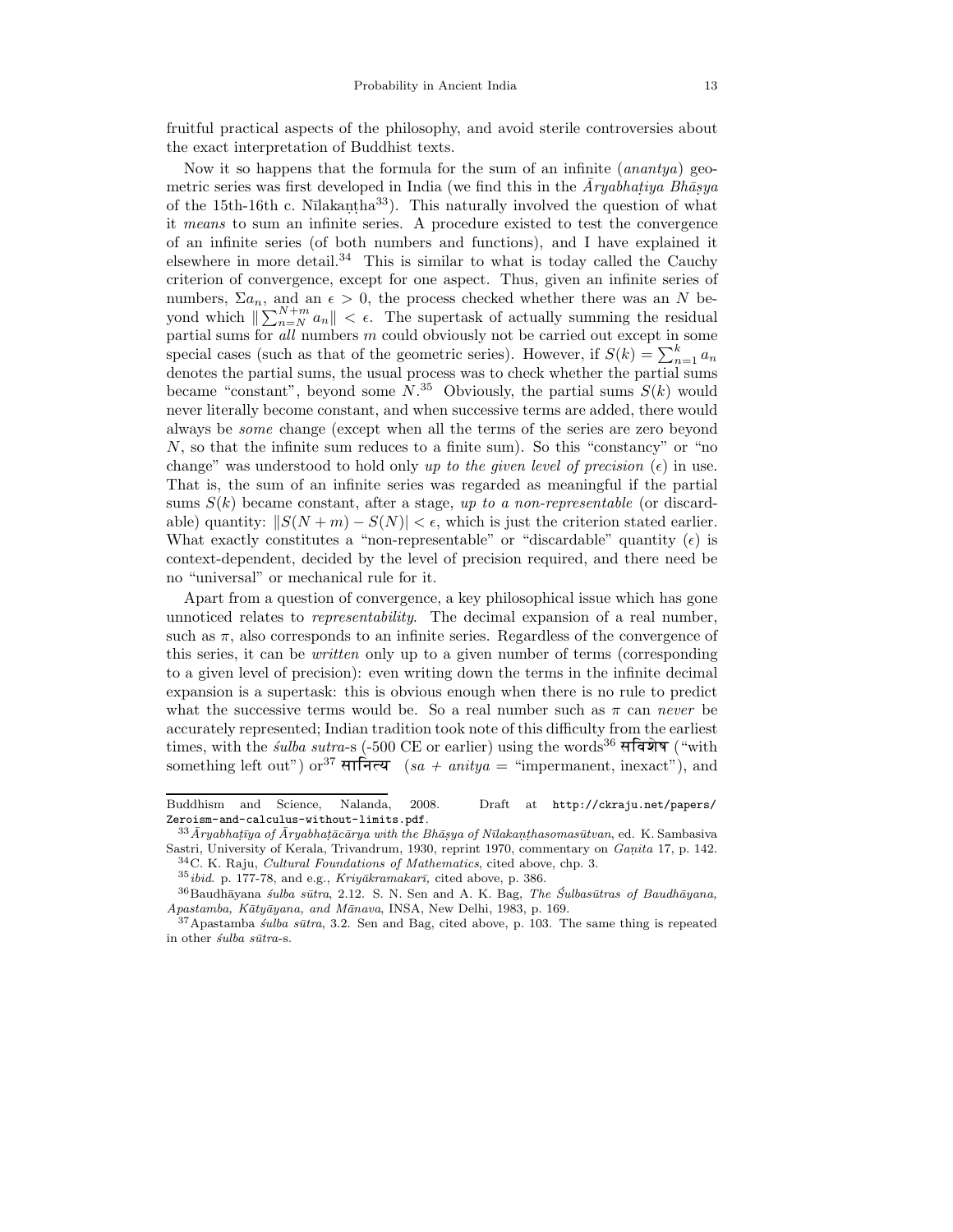fruitful practical aspects of the philosophy, and avoid sterile controversies about the exact interpretation of Buddhist texts.

Now it so happens that the formula for the sum of an infinite (*anantya*) geometric series was first developed in India (we find this in the  $\overline{A}ryabhat y$  *Bh* $\overline{a}sya$ of the 15th-16th c. Nīlakan,  $\frac{1}{3}$ . This naturally involved the question of what it *means* to sum an infinite series. A procedure existed to test the convergence of an infinite series (of both numbers and functions), and I have explained it elsewhere in more detail.<sup>34</sup> This is similar to what is today called the Cauchy criterion of convergence, except for one aspect. Thus, given an infinite series of numbers,  $\Sigma a_n$ , and an  $\epsilon > 0$ , the process checked whether there was an N beyond which  $\|\sum_{n=N}^{N+m} a_n\| < \epsilon$ . The supertask of actually summing the residual partial sums for *all* numbers m could obviously not be carried out except in some special cases (such as that of the geometric series). However, if  $S(k) = \sum_{n=1}^{k} a_n$ denotes the partial sums, the usual process was to check whether the partial sums became "constant", beyond some  $N^{35}$  Obviously, the partial sums  $S(k)$  would never literally become constant, and when successive terms are added, there would always be *some* change (except when all the terms of the series are zero beyond N, so that the infinite sum reduces to a finite sum). So this "constancy" or "no change" was understood to hold only *up to the given level of precision*  $(\epsilon)$  in use. That is, the sum of an infinite series was regarded as meaningful if the partial sums  $S(k)$  became constant, after a stage, *up to a non-representable* (or discardable) quantity:  $||S(N+m) - S(N)| < \epsilon$ , which is just the criterion stated earlier. What exactly constitutes a "non-representable" or "discardable" quantity  $(\epsilon)$  is context-dependent, decided by the level of precision required, and there need be no "universal" or mechanical rule for it.

Apart from a question of convergence, a key philosophical issue which has gone unnoticed relates to *representability*. The decimal expansion of a real number, such as  $\pi$ , also corresponds to an infinite series. Regardless of the convergence of this series, it can be *written* only up to a given number of terms (corresponding to a given level of precision): even writing down the terms in the infinite decimal expansion is a supertask: this is obvious enough when there is no rule to predict what the successive terms would be. So a real number such as  $\pi$  can *never* be accurately represented; Indian tradition took note of this difficulty from the earliest times, with the *śulba sutra*-s (-500 CE or earlier) using the words<sup>36</sup> सविशेष ("with something left out") or<sup>37</sup> सानित्य (*sa + anitya* = "impermanent, inexact"), and

Buddhism and Science, Nalanda, 2008. Draft at http://ckraju.net/papers/

Zeroism-and-calculus-without-limits.pdf.<br><sup>33</sup>*Aryabhatīya of Aryabhatācārya with the Bhāṣya of Nīlakanthasomasūtvan,* ed. K. Sambasiva<br>Sastri, University of Kerala, Trivandrum, 1930, reprint 1970, commentary on *Ganita* 17

<sup>&</sup>lt;sup>34</sup>C. K. Raju, *Cultural Foundations of Mathematics*, cited above, chp. 3.<br><sup>35</sup>*ibid.* p. 177-78, and e.g., *Kriyākramakarī*, cited above, p. 386.<br><sup>36</sup>Baudhāyana *śulba sūtra*, 2.12. S. N. Sen and A. K. Bag, *The Śulbasū Apastamba, K¯aty¯ayana, and M¯anava*, INSA, New Delhi, 1983, p. 169. <sup>37</sup>Apastamba *´sulba s¯utra*, 3.2. Sen and Bag, cited above, p. 103. The same thing is repeated

in other *śulba sūtra-s*.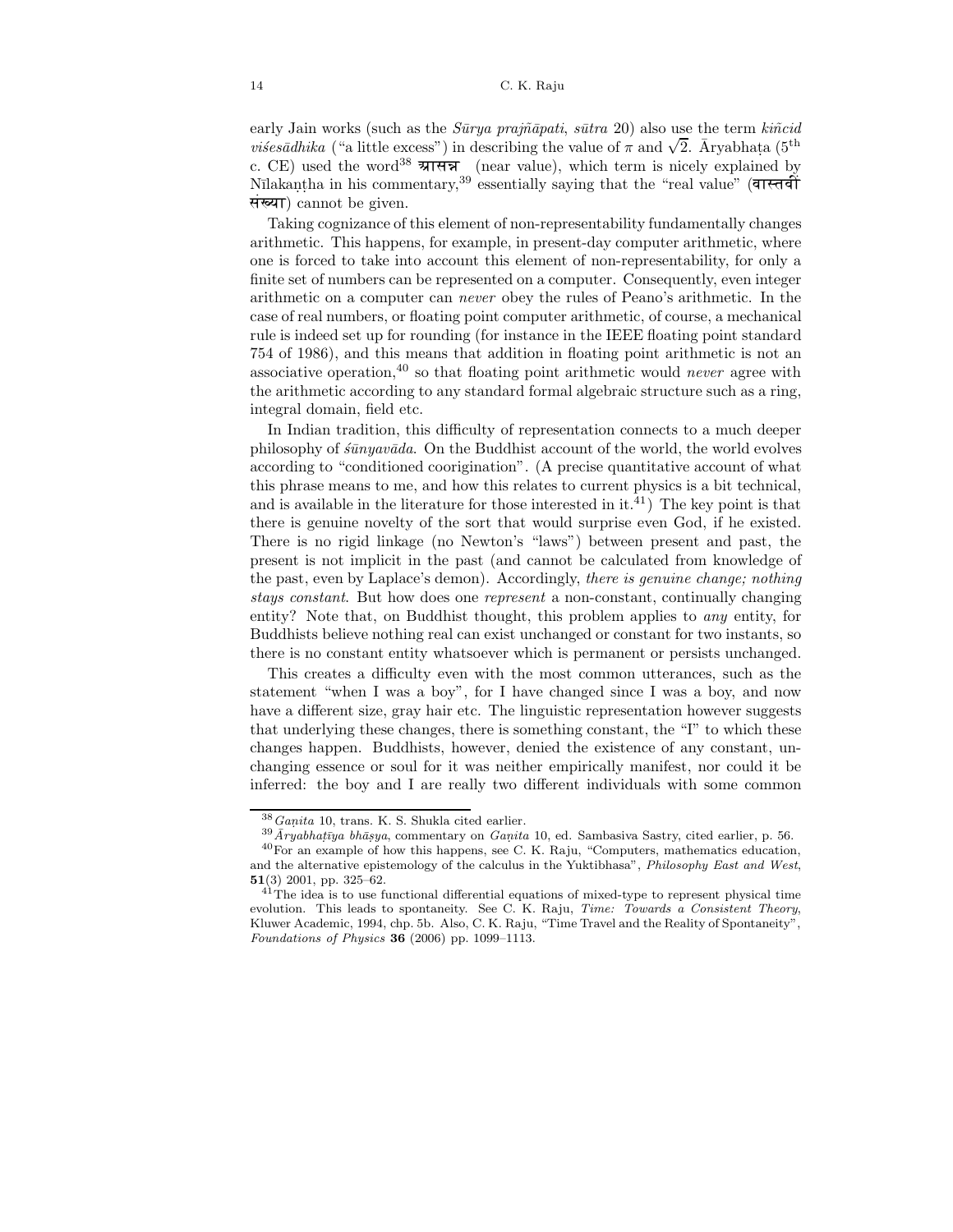early Jain works (such as the *Sūrya prajñāpati*, *sūtra* 20) also use the term *kiñcid viśesādhika* ("a little excess") in describing the value of  $\pi$  and  $\sqrt{2}$ . Aryabhata (5<sup>th</sup>) c. CE) used the word<sup>38</sup>  $\overline{\mathbf{u}}$  (near value), which term is nicely explained by Nīlakantha in his commentary,<sup>39</sup> essentially saying that the "real value" (**वास्तवी**)  $\overline{\text{H}}$   $\overline{\text{H}}$  cannot be given.

Taking cognizance of this element of non-representability fundamentally changes arithmetic. This happens, for example, in present-day computer arithmetic, where one is forced to take into account this element of non-representability, for only a finite set of numbers can be represented on a computer. Consequently, even integer arithmetic on a computer can *never* obey the rules of Peano's arithmetic. In the case of real numbers, or floating point computer arithmetic, of course, a mechanical rule is indeed set up for rounding (for instance in the IEEE floating point standard 754 of 1986), and this means that addition in floating point arithmetic is not an associative operation,<sup>40</sup> so that floating point arithmetic would *never* agree with the arithmetic according to any standard formal algebraic structure such as a ring, integral domain, field etc.

In Indian tradition, this difficulty of representation connects to a much deeper philosophy of  $\frac{\partial \bar{u}}{\partial u}$  and  $\bar{u}$ . On the Buddhist account of the world, the world evolves according to "conditioned coorigination". (A precise quantitative account of what this phrase means to me, and how this relates to current physics is a bit technical, and is available in the literature for those interested in  $it^{41}$ ) The key point is that there is genuine novelty of the sort that would surprise even God, if he existed. There is no rigid linkage (no Newton's "laws") between present and past, the present is not implicit in the past (and cannot be calculated from knowledge of the past, even by Laplace's demon). Accordingly, *there is genuine change; nothing stays constant*. But how does one *represent* a non-constant, continually changing entity? Note that, on Buddhist thought, this problem applies to *any* entity, for Buddhists believe nothing real can exist unchanged or constant for two instants, so there is no constant entity whatsoever which is permanent or persists unchanged.

This creates a difficulty even with the most common utterances, such as the statement "when I was a boy", for I have changed since I was a boy, and now have a different size, gray hair etc. The linguistic representation however suggests that underlying these changes, there is something constant, the "I" to which these changes happen. Buddhists, however, denied the existence of any constant, unchanging essence or soul for it was neither empirically manifest, nor could it be inferred: the boy and I are really two different individuals with some common

<sup>&</sup>lt;sup>38</sup> Ganita 10, trans. K. S. Shukla cited earlier.<br><sup>39</sup>  $\bar{A}ryabhat\bar{v}ya bh\bar{a}yya$ , commentary on *Ganita* 10, ed. Sambasiva Sastry, cited earlier, p. 56.<br><sup>40</sup> For an example of how this happens, see C. K. Raju, "Computers,

and the alternative epistemology of the calculus in the Yuktibhasa", *Philosophy East and West*, **51**(3) 2001, pp. 325–62.

 $41$ The idea is to use functional differential equations of mixed-type to represent physical time evolution. This leads to spontaneity. See C. K. Raju, *Time: Towards a Consistent Theory*, Kluwer Academic, 1994, chp. 5b. Also, C. K. Raju, "Time Travel and the Reality of Spontaneity", *Foundations of Physics* **36** (2006) pp. 1099–1113.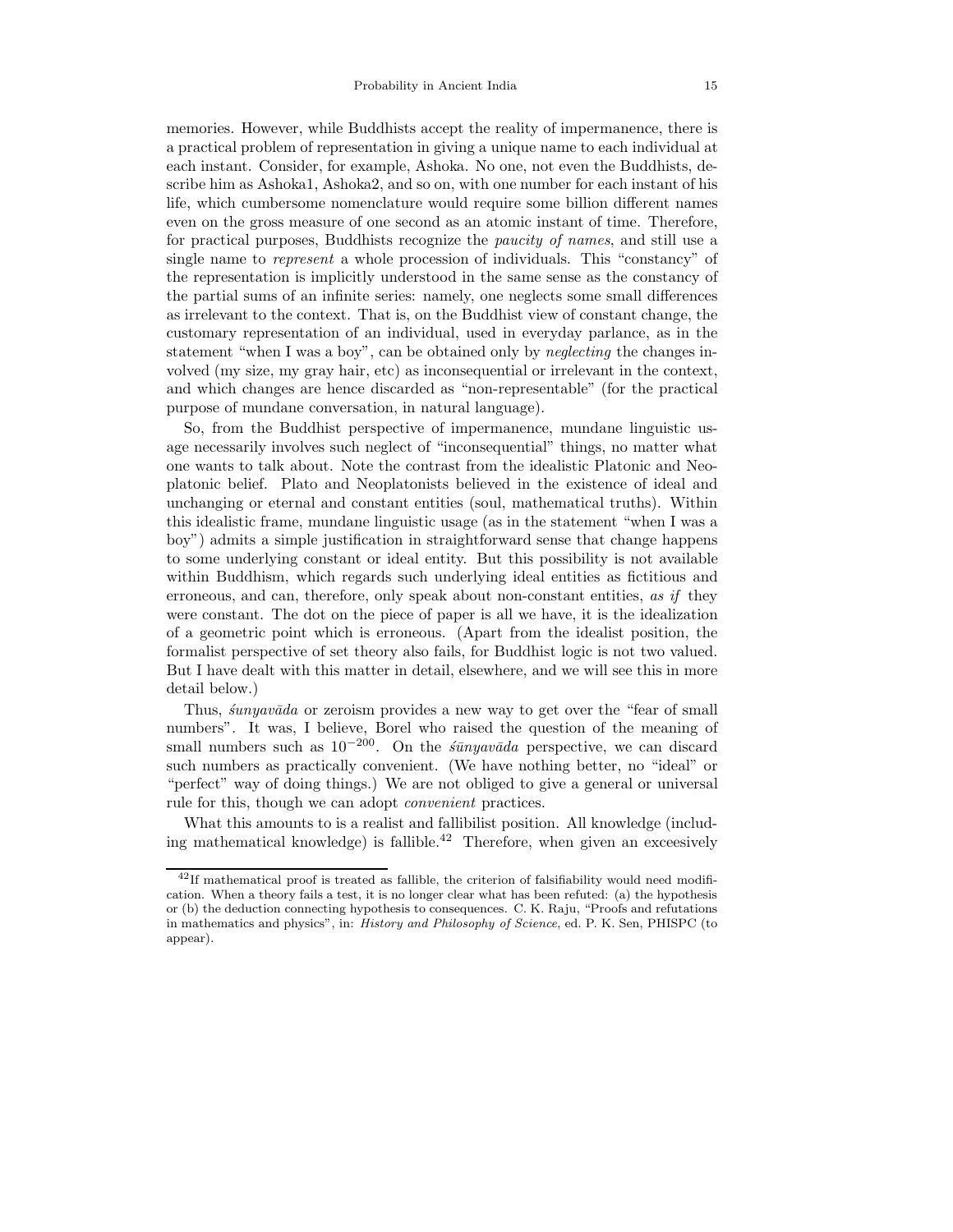memories. However, while Buddhists accept the reality of impermanence, there is a practical problem of representation in giving a unique name to each individual at each instant. Consider, for example, Ashoka. No one, not even the Buddhists, describe him as Ashoka1, Ashoka2, and so on, with one number for each instant of his life, which cumbersome nomenclature would require some billion different names even on the gross measure of one second as an atomic instant of time. Therefore, for practical purposes, Buddhists recognize the *paucity of names*, and still use a single name to *represent* a whole procession of individuals. This "constancy" of the representation is implicitly understood in the same sense as the constancy of the partial sums of an infinite series: namely, one neglects some small differences as irrelevant to the context. That is, on the Buddhist view of constant change, the customary representation of an individual, used in everyday parlance, as in the statement "when I was a boy", can be obtained only by *neglecting* the changes involved (my size, my gray hair, etc) as inconsequential or irrelevant in the context, and which changes are hence discarded as "non-representable" (for the practical purpose of mundane conversation, in natural language).

So, from the Buddhist perspective of impermanence, mundane linguistic usage necessarily involves such neglect of "inconsequential" things, no matter what one wants to talk about. Note the contrast from the idealistic Platonic and Neoplatonic belief. Plato and Neoplatonists believed in the existence of ideal and unchanging or eternal and constant entities (soul, mathematical truths). Within this idealistic frame, mundane linguistic usage (as in the statement "when I was a boy") admits a simple justification in straightforward sense that change happens to some underlying constant or ideal entity. But this possibility is not available within Buddhism, which regards such underlying ideal entities as fictitious and erroneous, and can, therefore, only speak about non-constant entities, *as if* they were constant. The dot on the piece of paper is all we have, it is the idealization of a geometric point which is erroneous. (Apart from the idealist position, the formalist perspective of set theory also fails, for Buddhist logic is not two valued. But I have dealt with this matter in detail, elsewhere, and we will see this in more detail below.)

Thus, *'sunyavada* or zeroism provides a new way to get over the "fear of small" numbers". It was, I believe, Borel who raised the question of the meaning of small numbers such as 10<sup>−200</sup>. On the *śūnyavāda* perspective, we can discard such numbers as practically convenient. (We have nothing better, no "ideal" or "perfect" way of doing things.) We are not obliged to give a general or universal rule for this, though we can adopt *convenient* practices.

What this amounts to is a realist and fallibilist position. All knowledge (including mathematical knowledge) is fallible.<sup>42</sup> Therefore, when given an exceesively

 $^{42}$ If mathematical proof is treated as fallible, the criterion of falsifiability would need modification. When a theory fails a test, it is no longer clear what has been refuted: (a) the hypothesis or (b) the deduction connecting hypothesis to consequences. C. K. Raju, "Proofs and refutations in mathematics and physics", in: *History and Philosophy of Science*, ed. P. K. Sen, PHISPC (to appear).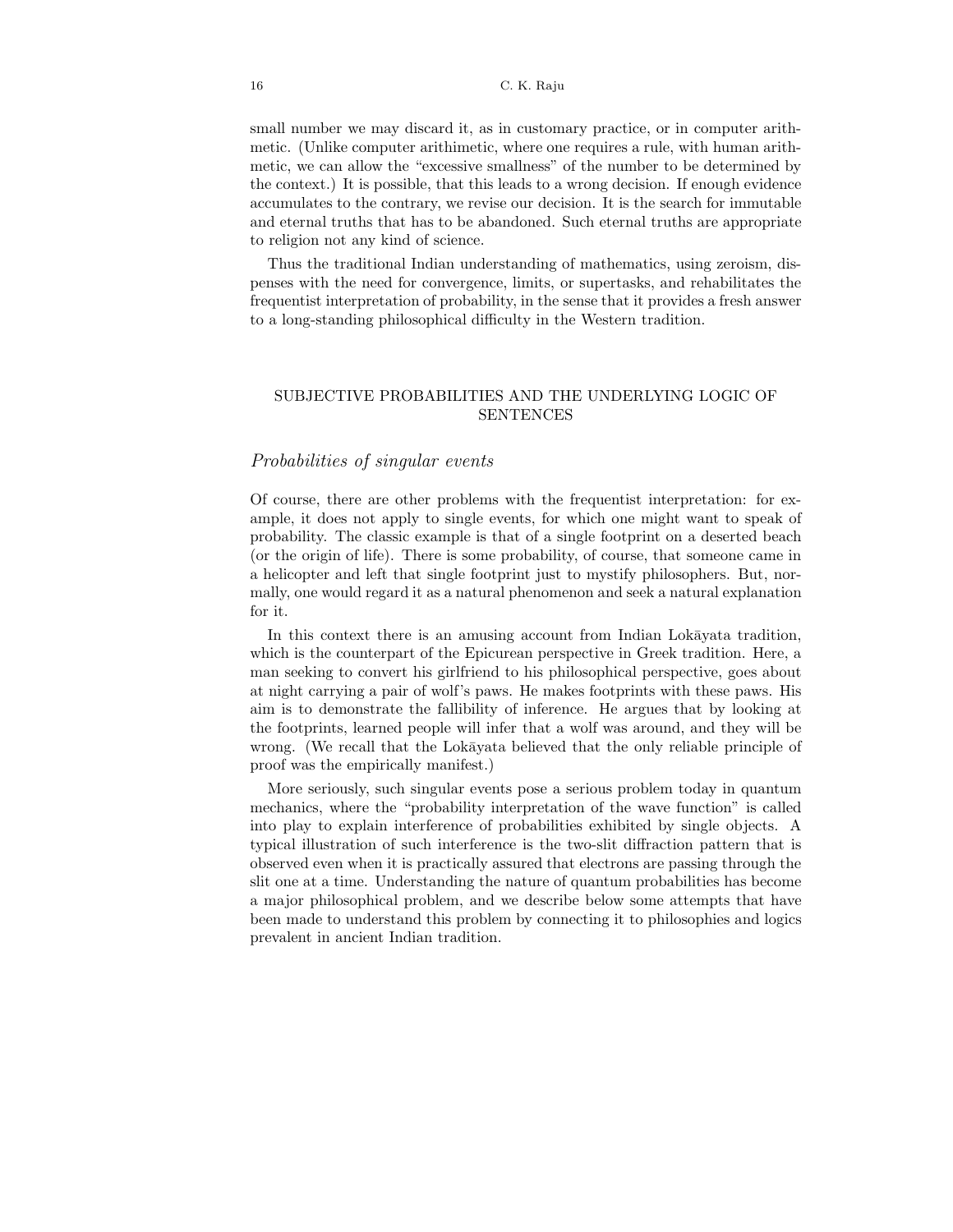small number we may discard it, as in customary practice, or in computer arithmetic. (Unlike computer arithimetic, where one requires a rule, with human arithmetic, we can allow the "excessive smallness" of the number to be determined by the context.) It is possible, that this leads to a wrong decision. If enough evidence accumulates to the contrary, we revise our decision. It is the search for immutable and eternal truths that has to be abandoned. Such eternal truths are appropriate to religion not any kind of science.

Thus the traditional Indian understanding of mathematics, using zeroism, dispenses with the need for convergence, limits, or supertasks, and rehabilitates the frequentist interpretation of probability, in the sense that it provides a fresh answer to a long-standing philosophical difficulty in the Western tradition.

# SUBJECTIVE PROBABILITIES AND THE UNDERLYING LOGIC OF SENTENCES

# *Probabilities of singular events*

Of course, there are other problems with the frequentist interpretation: for example, it does not apply to single events, for which one might want to speak of probability. The classic example is that of a single footprint on a deserted beach (or the origin of life). There is some probability, of course, that someone came in a helicopter and left that single footprint just to mystify philosophers. But, normally, one would regard it as a natural phenomenon and seek a natural explanation for it.

In this context there is an amusing account from Indian Lokayata tradition, which is the counterpart of the Epicurean perspective in Greek tradition. Here, a man seeking to convert his girlfriend to his philosophical perspective, goes about at night carrying a pair of wolf's paws. He makes footprints with these paws. His aim is to demonstrate the fallibility of inference. He argues that by looking at the footprints, learned people will infer that a wolf was around, and they will be wrong. (We recall that the Lokayata believed that the only reliable principle of proof was the empirically manifest.)

More seriously, such singular events pose a serious problem today in quantum mechanics, where the "probability interpretation of the wave function" is called into play to explain interference of probabilities exhibited by single objects. A typical illustration of such interference is the two-slit diffraction pattern that is observed even when it is practically assured that electrons are passing through the slit one at a time. Understanding the nature of quantum probabilities has become a major philosophical problem, and we describe below some attempts that have been made to understand this problem by connecting it to philosophies and logics prevalent in ancient Indian tradition.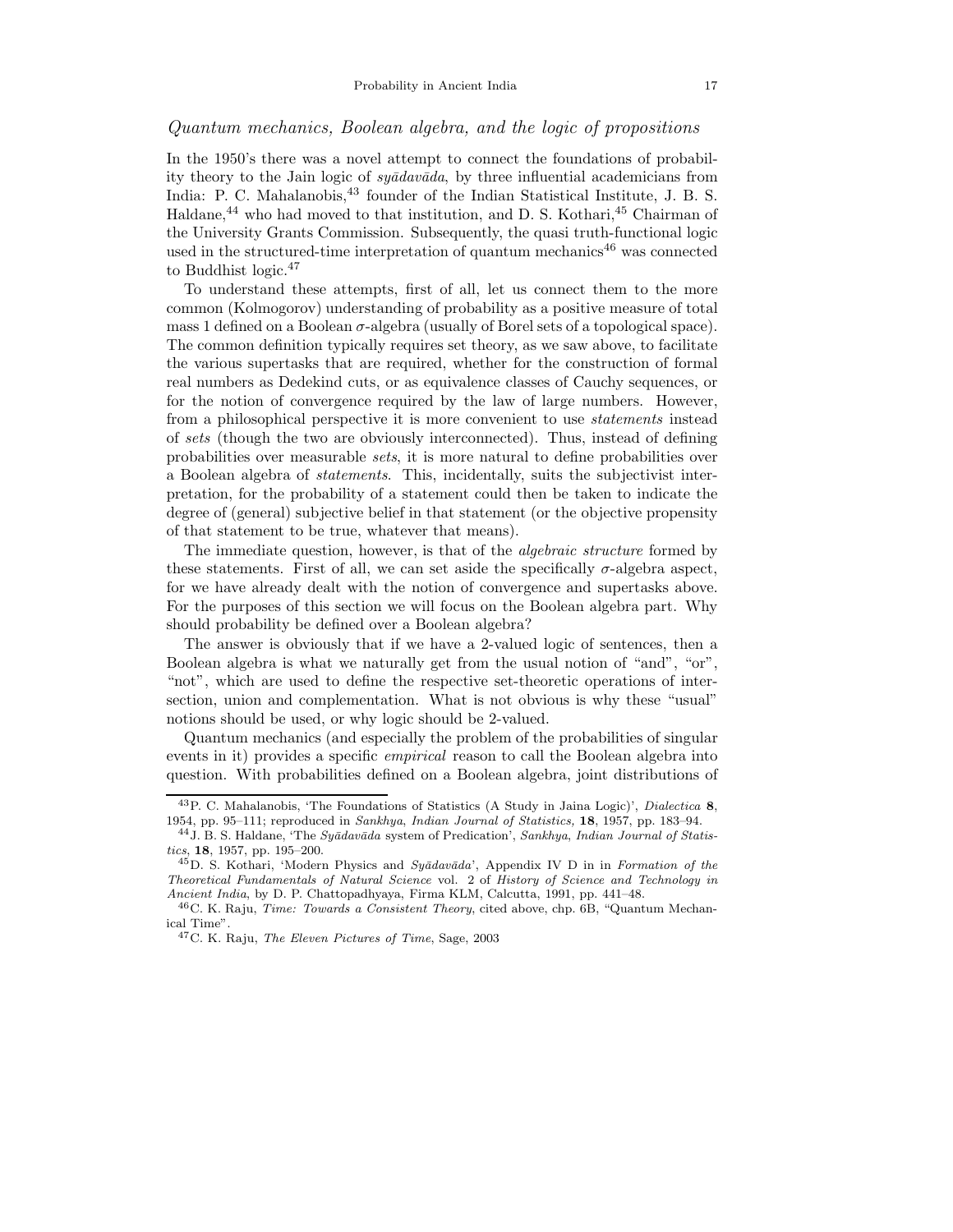# *Quantum mechanics, Boolean algebra, and the logic of propositions*

In the 1950's there was a novel attempt to connect the foundations of probability theory to the Jain logic of  $sy\bar{a}day\bar{a}da$ , by three influential academicians from India: P. C. Mahalanobis,<sup>43</sup> founder of the Indian Statistical Institute, J. B. S. Haldane,<sup>44</sup> who had moved to that institution, and D. S. Kothari,<sup>45</sup> Chairman of the University Grants Commission. Subsequently, the quasi truth-functional logic used in the structured-time interpretation of quantum mechanics<sup>46</sup> was connected to Buddhist logic.<sup>47</sup>

To understand these attempts, first of all, let us connect them to the more common (Kolmogorov) understanding of probability as a positive measure of total mass 1 defined on a Boolean  $\sigma$ -algebra (usually of Borel sets of a topological space). The common definition typically requires set theory, as we saw above, to facilitate the various supertasks that are required, whether for the construction of formal real numbers as Dedekind cuts, or as equivalence classes of Cauchy sequences, or for the notion of convergence required by the law of large numbers. However, from a philosophical perspective it is more convenient to use *statements* instead of *sets* (though the two are obviously interconnected). Thus, instead of defining probabilities over measurable *sets*, it is more natural to define probabilities over a Boolean algebra of *statements*. This, incidentally, suits the subjectivist interpretation, for the probability of a statement could then be taken to indicate the degree of (general) subjective belief in that statement (or the objective propensity of that statement to be true, whatever that means).

The immediate question, however, is that of the *algebraic structure* formed by these statements. First of all, we can set aside the specifically  $\sigma$ -algebra aspect, for we have already dealt with the notion of convergence and supertasks above. For the purposes of this section we will focus on the Boolean algebra part. Why should probability be defined over a Boolean algebra?

The answer is obviously that if we have a 2-valued logic of sentences, then a Boolean algebra is what we naturally get from the usual notion of "and", "or", "not", which are used to define the respective set-theoretic operations of intersection, union and complementation. What is not obvious is why these "usual" notions should be used, or why logic should be 2-valued.

Quantum mechanics (and especially the problem of the probabilities of singular events in it) provides a specific *empirical* reason to call the Boolean algebra into question. With probabilities defined on a Boolean algebra, joint distributions of

<sup>43</sup>P. C. Mahalanobis, 'The Foundations of Statistics (A Study in Jaina Logic)', *Dialectica* **8**,

<sup>1954,</sup> pp. 95–111; reproduced in Sankhya, Indian Journal of Statistics, 18, 1957, pp. 183–94.<br><sup>44</sup>J. B. S. Haldane, 'The Syādavāda system of Predication', Sankhya, Indian Journal of Statis*tics*, **18**, 1957, pp. 195–200.<br><sup>45</sup>D. S. Kothari, 'Modern Physics and *Sy* $\bar{a}$ dav $\bar{a}$ da', Appendix IV D in in *Formation of the* 

*Theoretical Fundamentals of Natural Science* vol. 2 of *History of Science and Technology in Ancient India*, by D. P. Chattopadhyaya, Firma KLM, Calcutta, 1991, pp. 441–48. <sup>46</sup>C. K. Raju, *Time: Towards a Consistent Theory*, cited above, chp. 6B, "Quantum Mechan-

ical Time". <sup>47</sup>C. K. Raju, *The Eleven Pictures of Time*, Sage, 2003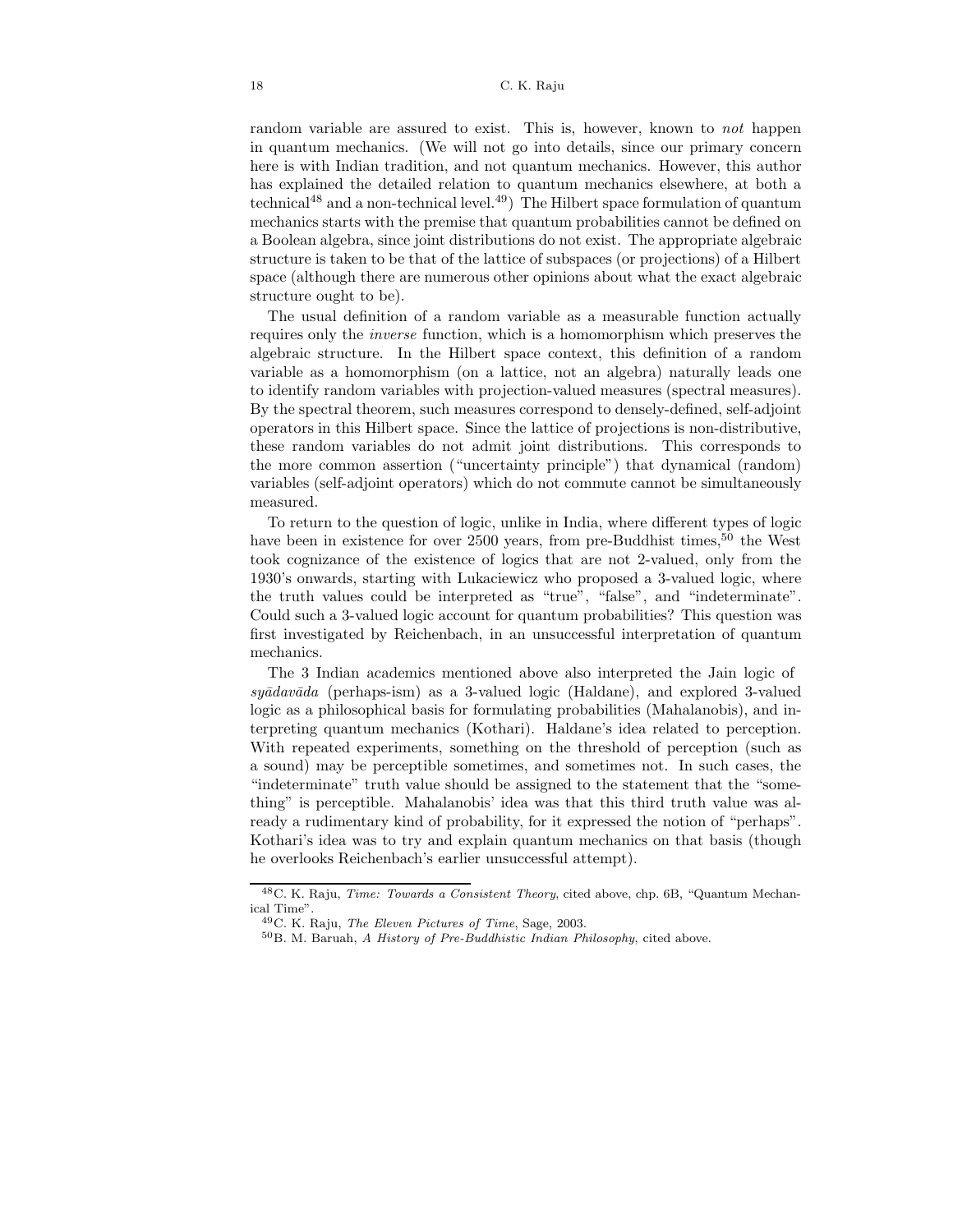random variable are assured to exist. This is, however, known to *not* happen in quantum mechanics. (We will not go into details, since our primary concern here is with Indian tradition, and not quantum mechanics. However, this author has explained the detailed relation to quantum mechanics elsewhere, at both a technical<sup>48</sup> and a non-technical level.<sup>49</sup>) The Hilbert space formulation of quantum mechanics starts with the premise that quantum probabilities cannot be defined on a Boolean algebra, since joint distributions do not exist. The appropriate algebraic structure is taken to be that of the lattice of subspaces (or projections) of a Hilbert space (although there are numerous other opinions about what the exact algebraic structure ought to be).

The usual definition of a random variable as a measurable function actually requires only the *inverse* function, which is a homomorphism which preserves the algebraic structure. In the Hilbert space context, this definition of a random variable as a homomorphism (on a lattice, not an algebra) naturally leads one to identify random variables with projection-valued measures (spectral measures). By the spectral theorem, such measures correspond to densely-defined, self-adjoint operators in this Hilbert space. Since the lattice of projections is non-distributive, these random variables do not admit joint distributions. This corresponds to the more common assertion ("uncertainty principle") that dynamical (random) variables (self-adjoint operators) which do not commute cannot be simultaneously measured.

To return to the question of logic, unlike in India, where different types of logic have been in existence for over  $2500$  years, from pre-Buddhist times,<sup>50</sup> the West took cognizance of the existence of logics that are not 2-valued, only from the 1930's onwards, starting with Lukaciewicz who proposed a 3-valued logic, where the truth values could be interpreted as "true", "false", and "indeterminate". Could such a 3-valued logic account for quantum probabilities? This question was first investigated by Reichenbach, in an unsuccessful interpretation of quantum mechanics.

The 3 Indian academics mentioned above also interpreted the Jain logic of *sy¯adav¯ada* (perhaps-ism) as a 3-valued logic (Haldane), and explored 3-valued logic as a philosophical basis for formulating probabilities (Mahalanobis), and interpreting quantum mechanics (Kothari). Haldane's idea related to perception. With repeated experiments, something on the threshold of perception (such as a sound) may be perceptible sometimes, and sometimes not. In such cases, the "indeterminate" truth value should be assigned to the statement that the "something" is perceptible. Mahalanobis' idea was that this third truth value was already a rudimentary kind of probability, for it expressed the notion of "perhaps". Kothari's idea was to try and explain quantum mechanics on that basis (though he overlooks Reichenbach's earlier unsuccessful attempt).

<sup>48</sup>C. K. Raju, *Time: Towards a Consistent Theory*, cited above, chp. 6B, "Quantum Mechan-

<sup>&</sup>lt;sup>49</sup>C. K. Raju, *The Eleven Pictures of Time*, Sage, 2003.<br><sup>50</sup>B. M. Baruah, *A History of Pre-Buddhistic Indian Philosophy*, cited above.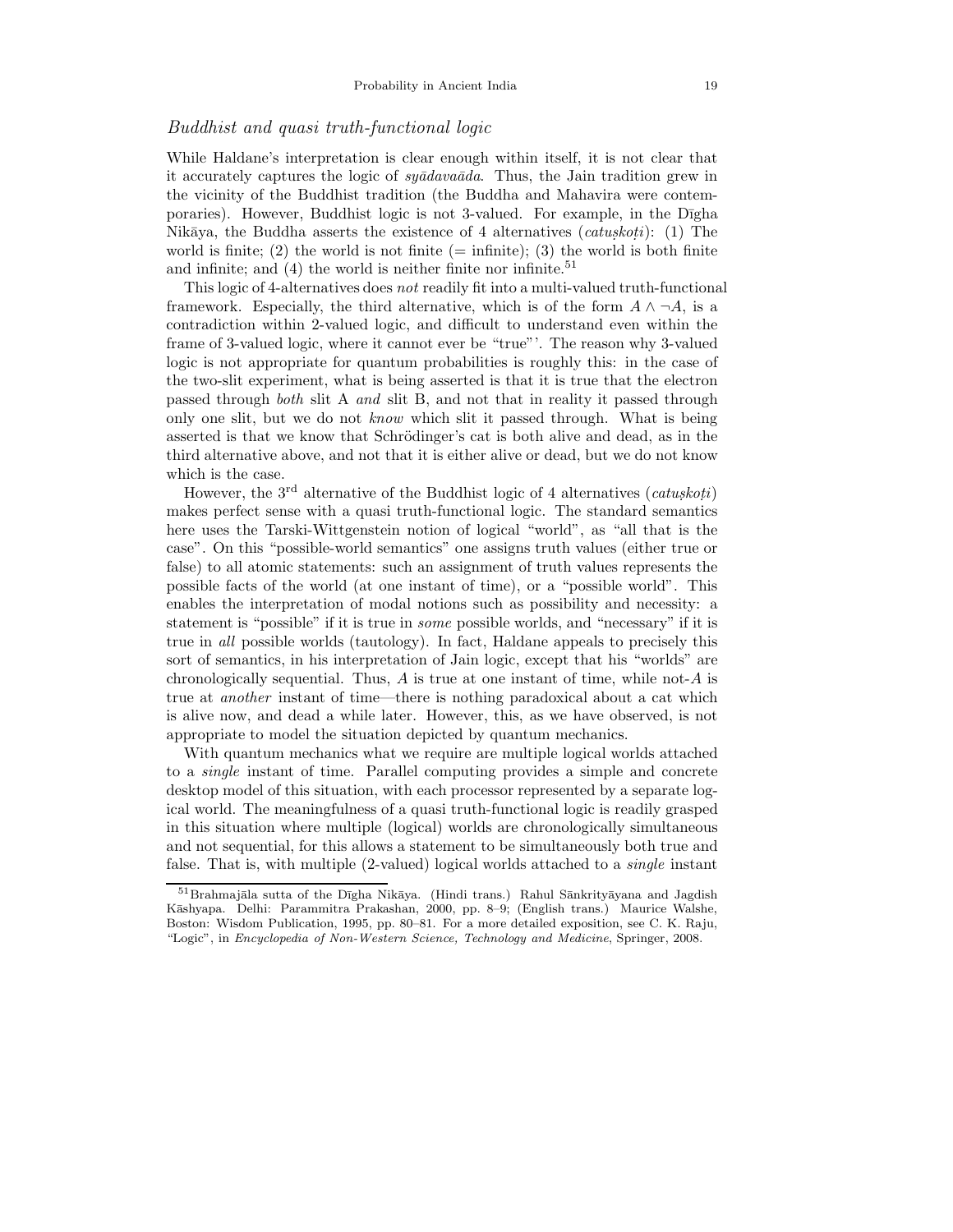# *Buddhist and quasi truth-functional logic*

While Haldane's interpretation is clear enough within itself, it is not clear that it accurately captures the logic of  $s\bar{y}\bar{a}d\bar{a}v\bar{a}d\bar{a}$ . Thus, the Jain tradition grew in the vicinity of the Buddhist tradition (the Buddha and Mahavira were contemporaries). However, Buddhist logic is not 3-valued. For example, in the Digha Nikāya, the Buddha asserts the existence of 4 alternatives (*catuskoti*): (1) The world is finite;  $(2)$  the world is not finite  $(=$  infinite);  $(3)$  the world is both finite and infinite; and  $(4)$  the world is neither finite nor infinite.<sup>51</sup>

This logic of 4-alternatives does *not* readily fit into a multi-valued truth-functional framework. Especially, the third alternative, which is of the form  $A \wedge \neg A$ , is a contradiction within 2-valued logic, and difficult to understand even within the frame of 3-valued logic, where it cannot ever be "true"'. The reason why 3-valued logic is not appropriate for quantum probabilities is roughly this: in the case of the two-slit experiment, what is being asserted is that it is true that the electron passed through *both* slit A *and* slit B, and not that in reality it passed through only one slit, but we do not *know* which slit it passed through. What is being asserted is that we know that Schrödinger's cat is both alive and dead, as in the third alternative above, and not that it is either alive or dead, but we do not know which is the case.

However, the 3<sup>rd</sup> alternative of the Buddhist logic of 4 alternatives (*catuskoti*) makes perfect sense with a quasi truth-functional logic. The standard semantics here uses the Tarski-Wittgenstein notion of logical "world", as "all that is the case". On this "possible-world semantics" one assigns truth values (either true or false) to all atomic statements: such an assignment of truth values represents the possible facts of the world (at one instant of time), or a "possible world". This enables the interpretation of modal notions such as possibility and necessity: a statement is "possible" if it is true in *some* possible worlds, and "necessary" if it is true in *all* possible worlds (tautology). In fact, Haldane appeals to precisely this sort of semantics, in his interpretation of Jain logic, except that his "worlds" are chronologically sequential. Thus,  $A$  is true at one instant of time, while not- $A$  is true at *another* instant of time—there is nothing paradoxical about a cat which is alive now, and dead a while later. However, this, as we have observed, is not appropriate to model the situation depicted by quantum mechanics.

With quantum mechanics what we require are multiple logical worlds attached to a *single* instant of time. Parallel computing provides a simple and concrete desktop model of this situation, with each processor represented by a separate logical world. The meaningfulness of a quasi truth-functional logic is readily grasped in this situation where multiple (logical) worlds are chronologically simultaneous and not sequential, for this allows a statement to be simultaneously both true and false. That is, with multiple (2-valued) logical worlds attached to a *single* instant

 $51$ Brahmajāla sutta of the Dīgha Nikāya. (Hindi trans.) Rahul Sānkrityāyana and Jagdish Kāshyapa. Delhi: Parammitra Prakashan, 2000, pp. 8–9; (English trans.) Maurice Walshe, Boston: Wisdom Publication, 1995, pp. 80–81. For a more detailed exposition, see C. K. Raju, "Logic", in *Encyclopedia of Non-Western Science, Technology and Medicine*, Springer, 2008.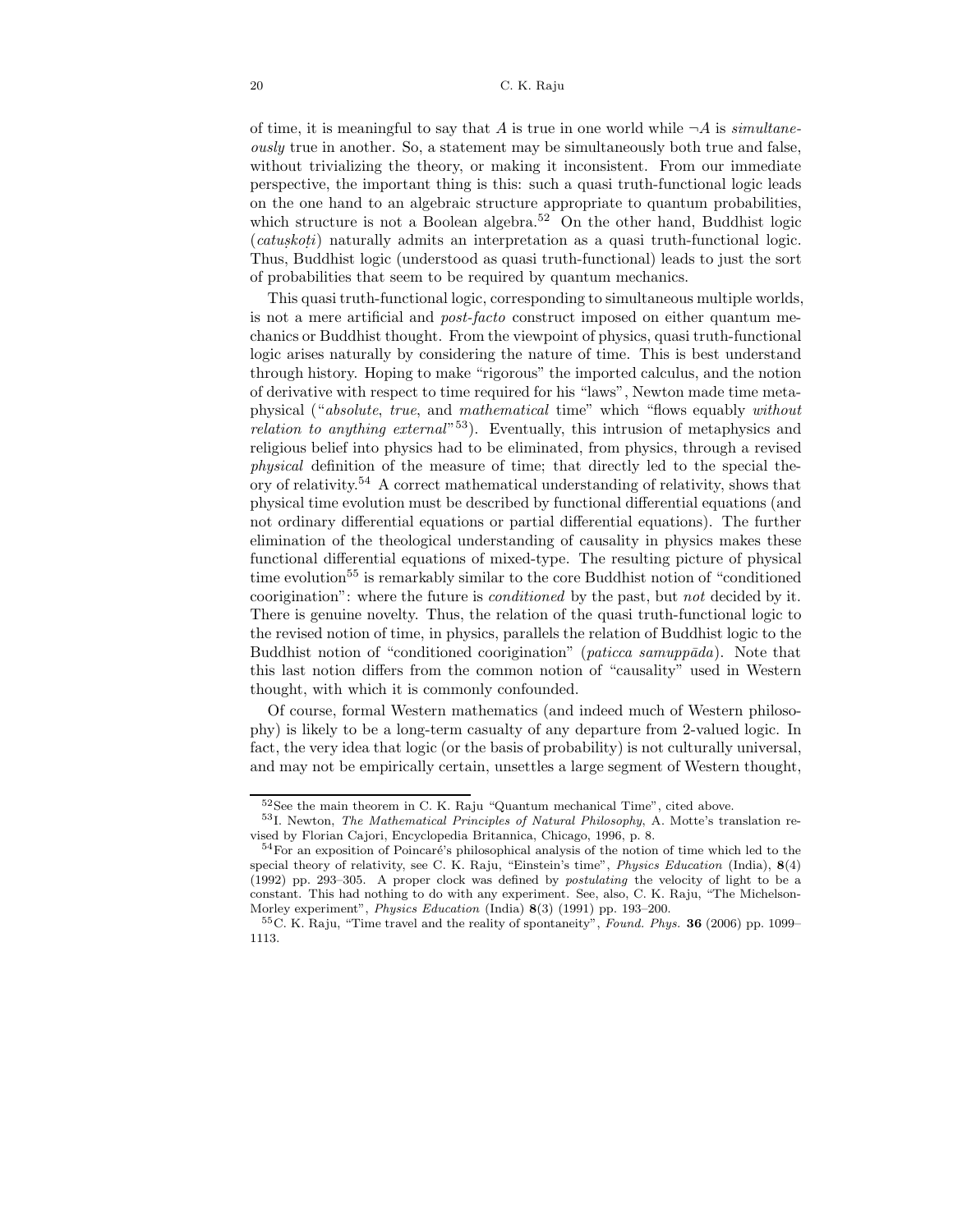of time, it is meaningful to say that  $A$  is true in one world while  $\neg A$  is *simultaneously* true in another. So, a statement may be simultaneously both true and false, without trivializing the theory, or making it inconsistent. From our immediate perspective, the important thing is this: such a quasi truth-functional logic leads on the one hand to an algebraic structure appropriate to quantum probabilities, which structure is not a Boolean algebra.<sup>52</sup> On the other hand, Buddhist logic (*catuskoti*) naturally admits an interpretation as a quasi truth-functional logic. Thus, Buddhist logic (understood as quasi truth-functional) leads to just the sort of probabilities that seem to be required by quantum mechanics.

This quasi truth-functional logic, corresponding to simultaneous multiple worlds, is not a mere artificial and *post-facto* construct imposed on either quantum mechanics or Buddhist thought. From the viewpoint of physics, quasi truth-functional logic arises naturally by considering the nature of time. This is best understand through history. Hoping to make "rigorous" the imported calculus, and the notion of derivative with respect to time required for his "laws", Newton made time metaphysical ("*absolute*, *true*, and *mathematical* time" which "flows equably *without relation to anything external*"53). Eventually, this intrusion of metaphysics and religious belief into physics had to be eliminated, from physics, through a revised *physical* definition of the measure of time; that directly led to the special theory of relativity.<sup>54</sup> A correct mathematical understanding of relativity, shows that physical time evolution must be described by functional differential equations (and not ordinary differential equations or partial differential equations). The further elimination of the theological understanding of causality in physics makes these functional differential equations of mixed-type. The resulting picture of physical time evolution<sup>55</sup> is remarkably similar to the core Buddhist notion of "conditioned" coorigination": where the future is *conditioned* by the past, but *not* decided by it. There is genuine novelty. Thus, the relation of the quasi truth-functional logic to the revised notion of time, in physics, parallels the relation of Buddhist logic to the Buddhist notion of "conditioned coorigination" (*paticca samuppada*). Note that this last notion differs from the common notion of "causality" used in Western thought, with which it is commonly confounded.

Of course, formal Western mathematics (and indeed much of Western philosophy) is likely to be a long-term casualty of any departure from 2-valued logic. In fact, the very idea that logic (or the basis of probability) is not culturally universal, and may not be empirically certain, unsettles a large segment of Western thought,

<sup>52</sup>See the main theorem in C. K. Raju "Quantum mechanical Time", cited above. <sup>53</sup>I. Newton, *The Mathematical Principles of Natural Philosophy*, A. Motte's translation revised by Florian Cajori, Encyclopedia Britannica, Chicago, 1996, p. 8.<br><sup>54</sup>For an exposition of Poincaré's philosophical analysis of the notion of time which led to the

special theory of relativity, see C. K. Raju, "Einstein's time", *Physics Education* (India), **8**(4) (1992) pp. 293–305. A proper clock was defined by *postulating* the velocity of light to be a constant. This had nothing to do with any experiment. See, also, C. K. Raju, "The Michelson-Morley experiment", *Physics Education* (India) **<sup>8</sup>**(3) (1991) pp. 193–200. <sup>55</sup>C. K. Raju, "Time travel and the reality of spontaneity", *Found. Phys.* **<sup>36</sup>** (2006) pp. 1099–

<sup>1113.</sup>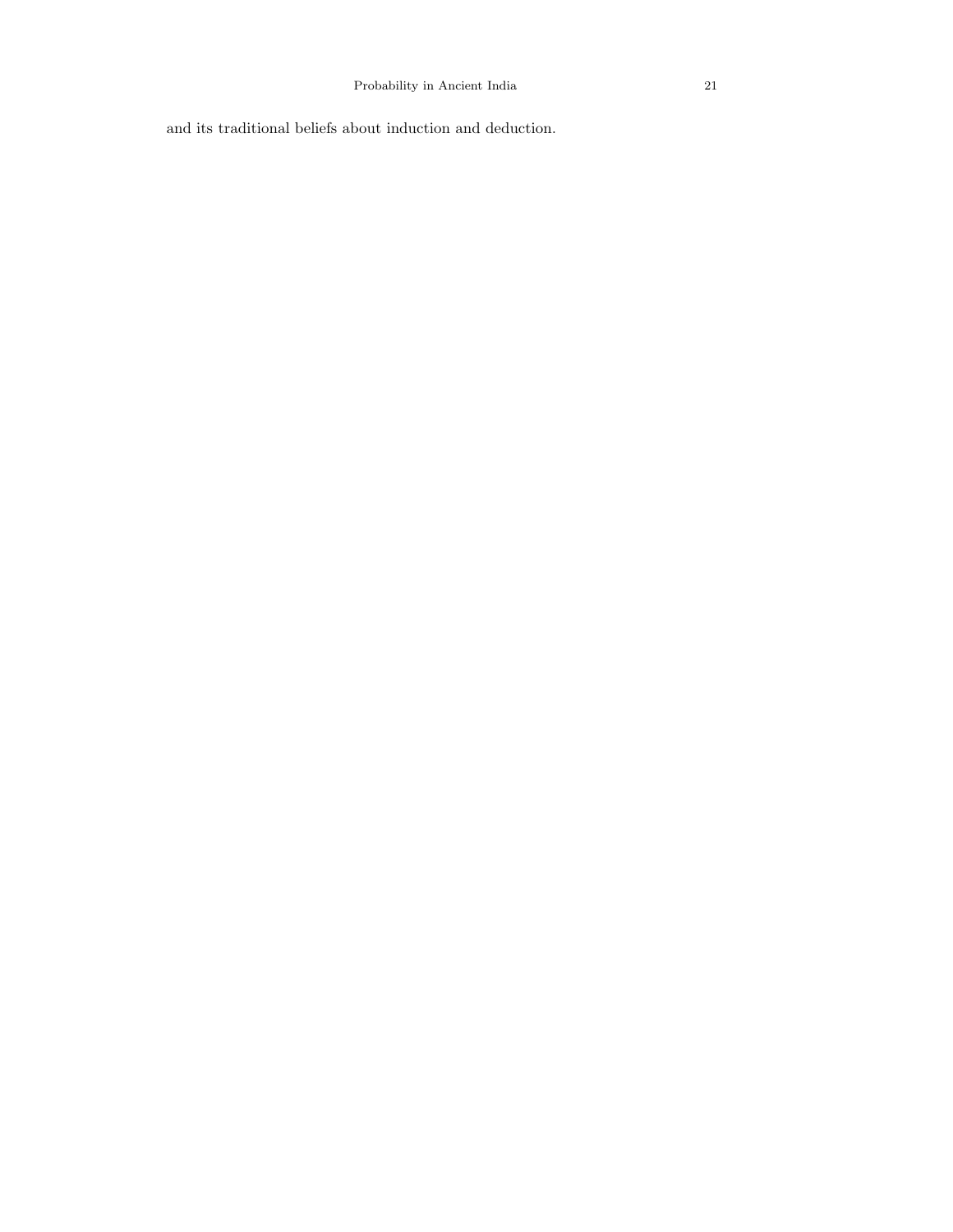and its traditional beliefs about induction and deduction.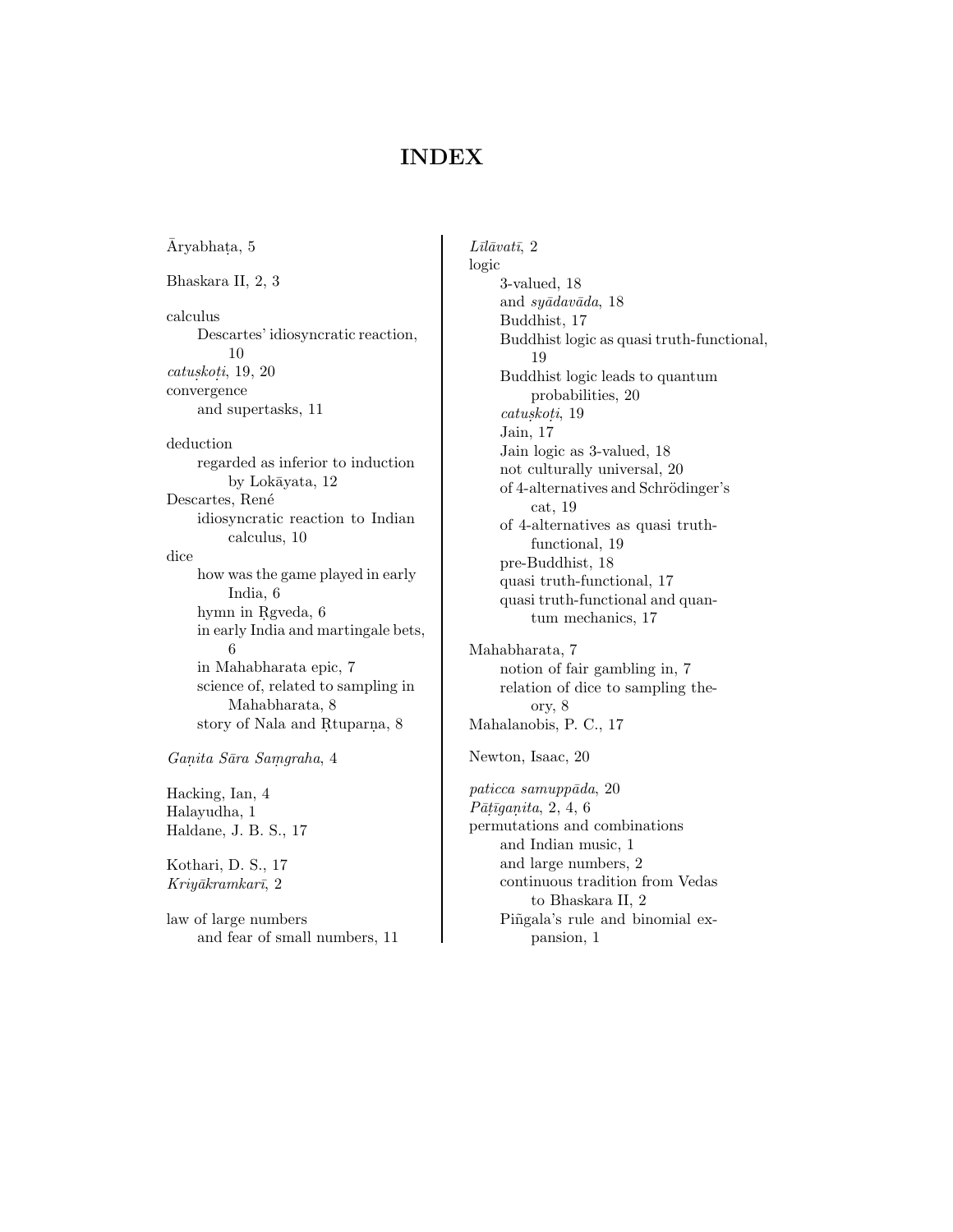# **INDEX**

 $\bar{A}$ ryabhata, 5 Bhaskara II, 2, 3 calculus Descartes' idiosyncratic reaction, 10 *catus.kot.i*, 19, 20 convergence and supertasks, 11 deduction regarded as inferior to induction by Lokāyata, 12 Descartes, René idiosyncratic reaction to Indian calculus, 10 dice how was the game played in early India, 6 hymn in Rgveda, 6 in early India and martingale bets, 6 in Mahabharata epic, 7 science of, related to sampling in Mahabharata, 8 story of Nala and Rtuparna, 8 *Ganita Sāra Samgraha*, 4 Hacking, Ian, 4

Halayudha, 1 Haldane, J. B. S., 17

Kothari, D. S., 17 *Kriy¯akramkar¯ı*, 2

law of large numbers and fear of small numbers, 11

*L¯ıl¯avat¯ı*, 2 logic 3-valued, 18 and  $s\nu\bar{a}dav\bar{a}da$ , 18 Buddhist, 17 Buddhist logic as quasi truth-functional, 19 Buddhist logic leads to quantum probabilities, 20  $ca tuskoti$ , 19 Jain, 17 Jain logic as 3-valued, 18 not culturally universal, 20 of 4-alternatives and Schrödinger's cat, 19 of 4-alternatives as quasi truthfunctional, 19 pre-Buddhist, 18 quasi truth-functional, 17 quasi truth-functional and quantum mechanics, 17 Mahabharata, 7

notion of fair gambling in, 7 relation of dice to sampling theory, 8 Mahalanobis, P. C., 17

Newton, Isaac, 20

 $paticca$  samupp $\bar{a}da$ , 20 *P¯at.¯ıgan. ita*, 2, 4, 6 permutations and combinations and Indian music, 1 and large numbers, 2 continuous tradition from Vedas to Bhaskara II, 2 Piñgala's rule and binomial expansion, 1